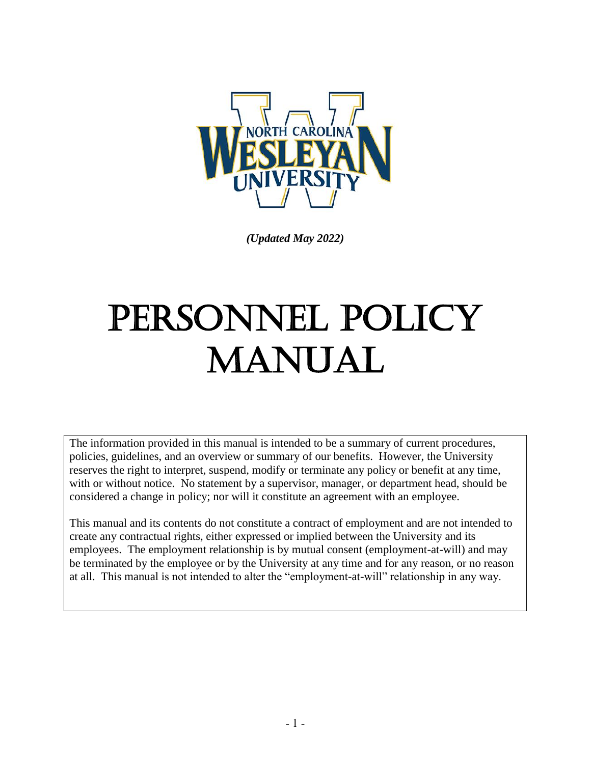

*(Updated May 2022)*

# PERSONNEL POLICY MANUAL

The information provided in this manual is intended to be a summary of current procedures, policies, guidelines, and an overview or summary of our benefits. However, the University reserves the right to interpret, suspend, modify or terminate any policy or benefit at any time, with or without notice. No statement by a supervisor, manager, or department head, should be considered a change in policy; nor will it constitute an agreement with an employee.

This manual and its contents do not constitute a contract of employment and are not intended to create any contractual rights, either expressed or implied between the University and its employees. The employment relationship is by mutual consent (employment-at-will) and may be terminated by the employee or by the University at any time and for any reason, or no reason at all. This manual is not intended to alter the "employment-at-will" relationship in any way.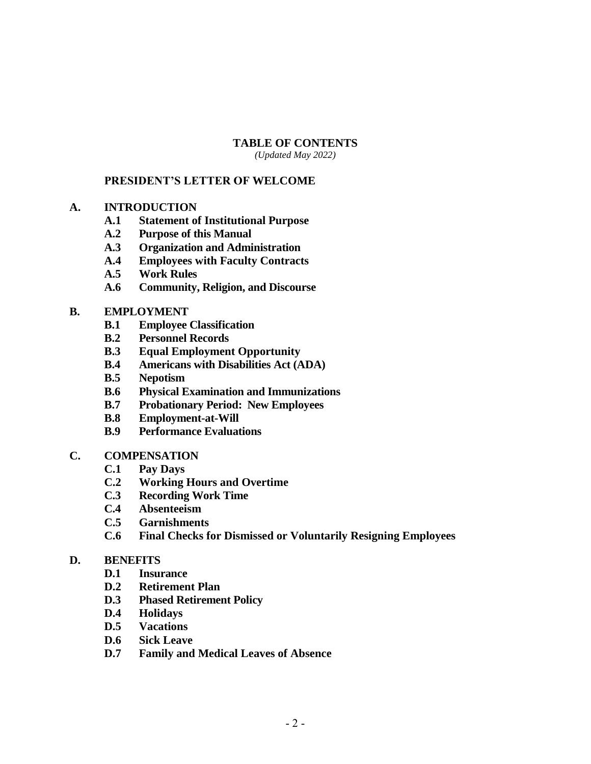#### **TABLE OF CONTENTS**

*(Updated May 2022)*

#### **PRESIDENT'S LETTER OF WELCOME**

- **A. INTRODUCTION**
	- **A.1 Statement of Institutional Purpose**
	- **A.2 Purpose of this Manual**
	- **A.3 Organization and Administration**
	- **A.4 Employees with Faculty Contracts**
	- **A.5 Work Rules**
	- **A.6 Community, Religion, and Discourse**

#### **B. EMPLOYMENT**

- **B.1 Employee Classification**
- **B.2 Personnel Records**
- **B.3 Equal Employment Opportunity**
- **B.4 Americans with Disabilities Act (ADA)**
- **B.5 Nepotism**
- **B.6 Physical Examination and Immunizations**
- **B.7 Probationary Period: New Employees**
- **B.8 Employment-at-Will**
- **B.9 Performance Evaluations**
- **C. COMPENSATION**
	- **C.1 Pay Days**
	- **C.2 Working Hours and Overtime**
	- **C.3 Recording Work Time**
	- **C.4 Absenteeism**
	- **C.5 Garnishments**
	- **C.6 Final Checks for Dismissed or Voluntarily Resigning Employees**

#### **D. BENEFITS**

- **D.1 Insurance**
- **D.2 Retirement Plan**
- **D.3 Phased Retirement Policy**
- **D.4 Holidays**
- **D.5 Vacations**
- **D.6 Sick Leave**
- **D.7 Family and Medical Leaves of Absence**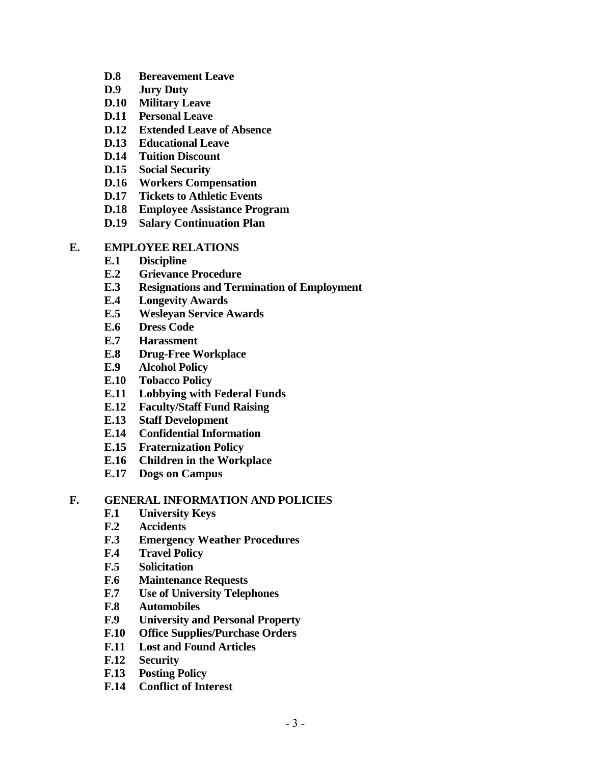- **D.8 Bereavement Leave**
- **D.9 Jury Duty**
- **D.10 Military Leave**
- **D.11 Personal Leave**
- **D.12 Extended Leave of Absence**
- **D.13 Educational Leave**
- **D.14 Tuition Discount**
- **D.15 Social Security**
- **D.16 Workers Compensation**
- **D.17 Tickets to Athletic Events**
- **D.18 Employee Assistance Program**
- **D.19 Salary Continuation Plan**

#### **E. EMPLOYEE RELATIONS**

- **E.1 Discipline**
- **E.2 Grievance Procedure**
- **E.3 Resignations and Termination of Employment**
- **E.4 Longevity Awards**
- **E.5 Wesleyan Service Awards**
- **E.6 Dress Code**
- **E.7 Harassment**
- **E.8 Drug-Free Workplace**
- **E.9 Alcohol Policy**
- **E.10 Tobacco Policy**
- **E.11 Lobbying with Federal Funds**
- **E.12 Faculty/Staff Fund Raising**
- **E.13 Staff Development**
- **E.14 Confidential Information**
- **E.15 Fraternization Policy**
- **E.16 Children in the Workplace**
- **E.17 Dogs on Campus**

#### **F. GENERAL INFORMATION AND POLICIES**

- **F.1 University Keys**
- **F.2 Accidents**
- **F.3 Emergency Weather Procedures**
- **F.4 Travel Policy**
- **F.5 Solicitation**
- **F.6 Maintenance Requests**
- **F.7 Use of University Telephones**
- **F.8 Automobiles**
- **F.9 University and Personal Property**
- **F.10 Office Supplies/Purchase Orders**
- **F.11 Lost and Found Articles**
- **F.12 Security**
- **F.13 Posting Policy**
- **F.14 Conflict of Interest**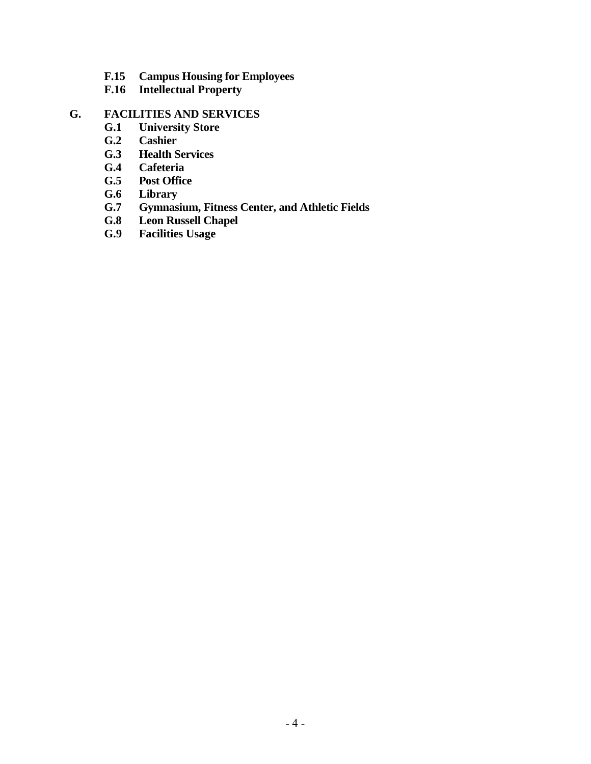- **F.15 Campus Housing for Employees**
- **F.16 Intellectual Property**

# **G. FACILITIES AND SERVICES**

- **G.1 University Store**
- **G.2 Cashier**
- **G.3 Health Services**
- **G.4 Cafeteria**
- **G.5 Post Office**
- **G.6 Library**
- **G.7 Gymnasium, Fitness Center, and Athletic Fields**
- **G.8 Leon Russell Chapel**
- **G.9 Facilities Usage**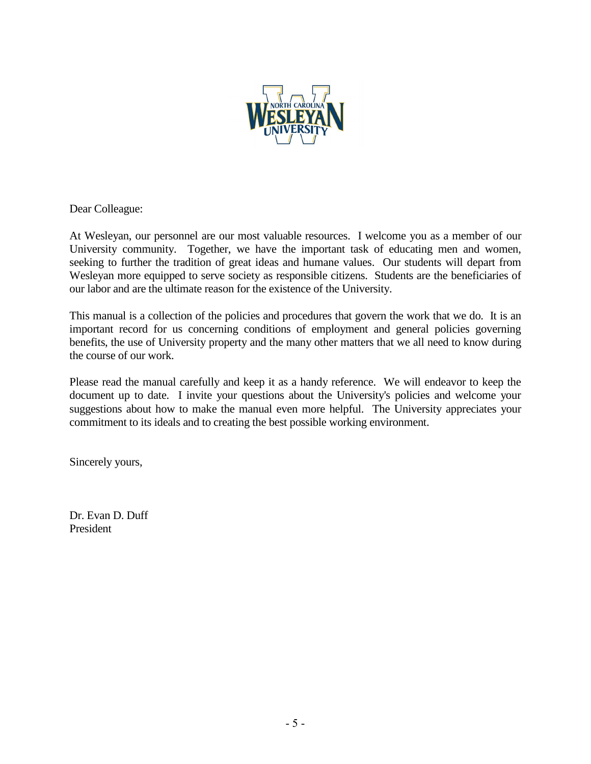

Dear Colleague:

At Wesleyan, our personnel are our most valuable resources. I welcome you as a member of our University community. Together, we have the important task of educating men and women, seeking to further the tradition of great ideas and humane values. Our students will depart from Wesleyan more equipped to serve society as responsible citizens. Students are the beneficiaries of our labor and are the ultimate reason for the existence of the University.

This manual is a collection of the policies and procedures that govern the work that we do. It is an important record for us concerning conditions of employment and general policies governing benefits, the use of University property and the many other matters that we all need to know during the course of our work.

Please read the manual carefully and keep it as a handy reference. We will endeavor to keep the document up to date. I invite your questions about the University's policies and welcome your suggestions about how to make the manual even more helpful. The University appreciates your commitment to its ideals and to creating the best possible working environment.

Sincerely yours,

Dr. Evan D. Duff President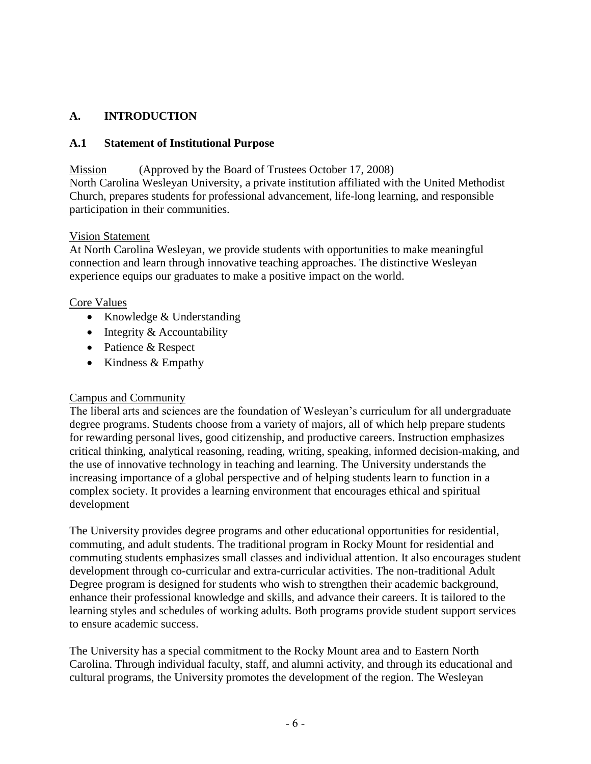# **A. INTRODUCTION**

## **A.1 Statement of Institutional Purpose**

Mission (Approved by the Board of Trustees October 17, 2008) North Carolina Wesleyan University, a private institution affiliated with the United Methodist Church, prepares students for professional advancement, life-long learning, and responsible participation in their communities.

## Vision Statement

At North Carolina Wesleyan, we provide students with opportunities to make meaningful connection and learn through innovative teaching approaches. The distinctive Wesleyan experience equips our graduates to make a positive impact on the world.

## Core Values

- Knowledge & Understanding
- Integrity & Accountability
- Patience & Respect
- Kindness & Empathy

# Campus and Community

The liberal arts and sciences are the foundation of Wesleyan's curriculum for all undergraduate degree programs. Students choose from a variety of majors, all of which help prepare students for rewarding personal lives, good citizenship, and productive careers. Instruction emphasizes critical thinking, analytical reasoning, reading, writing, speaking, informed decision-making, and the use of innovative technology in teaching and learning. The University understands the increasing importance of a global perspective and of helping students learn to function in a complex society. It provides a learning environment that encourages ethical and spiritual development

The University provides degree programs and other educational opportunities for residential, commuting, and adult students. The traditional program in Rocky Mount for residential and commuting students emphasizes small classes and individual attention. It also encourages student development through co-curricular and extra-curricular activities. The non-traditional Adult Degree program is designed for students who wish to strengthen their academic background, enhance their professional knowledge and skills, and advance their careers. It is tailored to the learning styles and schedules of working adults. Both programs provide student support services to ensure academic success.

The University has a special commitment to the Rocky Mount area and to Eastern North Carolina. Through individual faculty, staff, and alumni activity, and through its educational and cultural programs, the University promotes the development of the region. The Wesleyan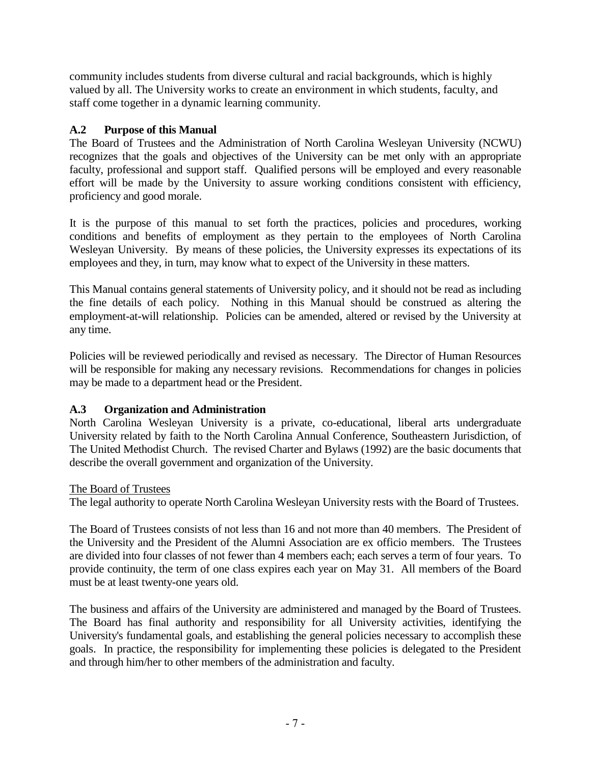community includes students from diverse cultural and racial backgrounds, which is highly valued by all. The University works to create an environment in which students, faculty, and staff come together in a dynamic learning community.

# **A.2 Purpose of this Manual**

The Board of Trustees and the Administration of North Carolina Wesleyan University (NCWU) recognizes that the goals and objectives of the University can be met only with an appropriate faculty, professional and support staff. Qualified persons will be employed and every reasonable effort will be made by the University to assure working conditions consistent with efficiency, proficiency and good morale.

It is the purpose of this manual to set forth the practices, policies and procedures, working conditions and benefits of employment as they pertain to the employees of North Carolina Wesleyan University. By means of these policies, the University expresses its expectations of its employees and they, in turn, may know what to expect of the University in these matters.

This Manual contains general statements of University policy, and it should not be read as including the fine details of each policy. Nothing in this Manual should be construed as altering the employment-at-will relationship. Policies can be amended, altered or revised by the University at any time.

Policies will be reviewed periodically and revised as necessary. The Director of Human Resources will be responsible for making any necessary revisions. Recommendations for changes in policies may be made to a department head or the President.

# **A.3 Organization and Administration**

North Carolina Wesleyan University is a private, co-educational, liberal arts undergraduate University related by faith to the North Carolina Annual Conference, Southeastern Jurisdiction, of The United Methodist Church. The revised Charter and Bylaws (1992) are the basic documents that describe the overall government and organization of the University.

#### The Board of Trustees

The legal authority to operate North Carolina Wesleyan University rests with the Board of Trustees.

The Board of Trustees consists of not less than 16 and not more than 40 members. The President of the University and the President of the Alumni Association are ex officio members. The Trustees are divided into four classes of not fewer than 4 members each; each serves a term of four years. To provide continuity, the term of one class expires each year on May 31. All members of the Board must be at least twenty-one years old.

The business and affairs of the University are administered and managed by the Board of Trustees. The Board has final authority and responsibility for all University activities, identifying the University's fundamental goals, and establishing the general policies necessary to accomplish these goals. In practice, the responsibility for implementing these policies is delegated to the President and through him/her to other members of the administration and faculty.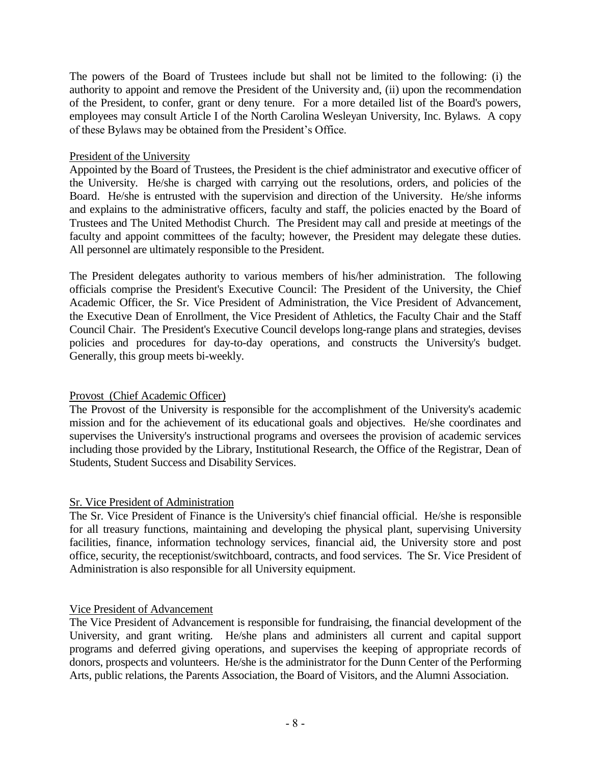The powers of the Board of Trustees include but shall not be limited to the following: (i) the authority to appoint and remove the President of the University and, (ii) upon the recommendation of the President, to confer, grant or deny tenure. For a more detailed list of the Board's powers, employees may consult Article I of the North Carolina Wesleyan University, Inc. Bylaws. A copy of these Bylaws may be obtained from the President's Office.

#### President of the University

Appointed by the Board of Trustees, the President is the chief administrator and executive officer of the University. He/she is charged with carrying out the resolutions, orders, and policies of the Board. He/she is entrusted with the supervision and direction of the University. He/she informs and explains to the administrative officers, faculty and staff, the policies enacted by the Board of Trustees and The United Methodist Church. The President may call and preside at meetings of the faculty and appoint committees of the faculty; however, the President may delegate these duties. All personnel are ultimately responsible to the President.

The President delegates authority to various members of his/her administration. The following officials comprise the President's Executive Council: The President of the University, the Chief Academic Officer, the Sr. Vice President of Administration, the Vice President of Advancement, the Executive Dean of Enrollment, the Vice President of Athletics, the Faculty Chair and the Staff Council Chair. The President's Executive Council develops long-range plans and strategies, devises policies and procedures for day-to-day operations, and constructs the University's budget. Generally, this group meets bi-weekly.

#### Provost (Chief Academic Officer)

The Provost of the University is responsible for the accomplishment of the University's academic mission and for the achievement of its educational goals and objectives. He/she coordinates and supervises the University's instructional programs and oversees the provision of academic services including those provided by the Library, Institutional Research, the Office of the Registrar, Dean of Students, Student Success and Disability Services.

#### Sr. Vice President of Administration

The Sr. Vice President of Finance is the University's chief financial official. He/she is responsible for all treasury functions, maintaining and developing the physical plant, supervising University facilities, finance, information technology services, financial aid, the University store and post office, security, the receptionist/switchboard, contracts, and food services. The Sr. Vice President of Administration is also responsible for all University equipment.

#### Vice President of Advancement

The Vice President of Advancement is responsible for fundraising, the financial development of the University, and grant writing. He/she plans and administers all current and capital support programs and deferred giving operations, and supervises the keeping of appropriate records of donors, prospects and volunteers. He/she is the administrator for the Dunn Center of the Performing Arts, public relations, the Parents Association, the Board of Visitors, and the Alumni Association.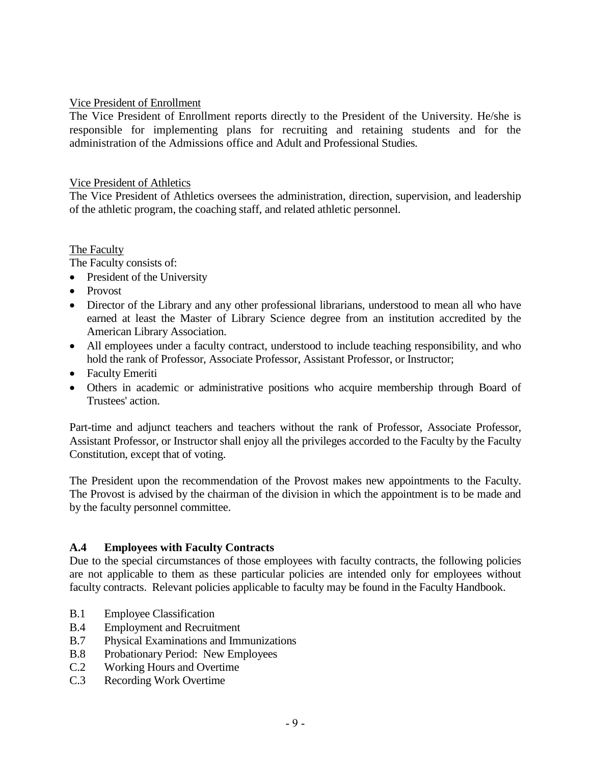#### Vice President of Enrollment

The Vice President of Enrollment reports directly to the President of the University. He/she is responsible for implementing plans for recruiting and retaining students and for the administration of the Admissions office and Adult and Professional Studies.

#### Vice President of Athletics

The Vice President of Athletics oversees the administration, direction, supervision, and leadership of the athletic program, the coaching staff, and related athletic personnel.

#### The Faculty

The Faculty consists of:

- President of the University
- Provost
- Director of the Library and any other professional librarians, understood to mean all who have earned at least the Master of Library Science degree from an institution accredited by the American Library Association.
- All employees under a faculty contract, understood to include teaching responsibility, and who hold the rank of Professor, Associate Professor, Assistant Professor, or Instructor;
- Faculty Emeriti
- Others in academic or administrative positions who acquire membership through Board of Trustees' action.

Part-time and adjunct teachers and teachers without the rank of Professor, Associate Professor, Assistant Professor, or Instructor shall enjoy all the privileges accorded to the Faculty by the Faculty Constitution, except that of voting.

The President upon the recommendation of the Provost makes new appointments to the Faculty. The Provost is advised by the chairman of the division in which the appointment is to be made and by the faculty personnel committee.

#### **A.4 Employees with Faculty Contracts**

Due to the special circumstances of those employees with faculty contracts, the following policies are not applicable to them as these particular policies are intended only for employees without faculty contracts. Relevant policies applicable to faculty may be found in the Faculty Handbook.

- B.1 Employee Classification
- B.4 Employment and Recruitment
- B.7 Physical Examinations and Immunizations
- B.8 Probationary Period: New Employees
- C.2 Working Hours and Overtime
- C.3 Recording Work Overtime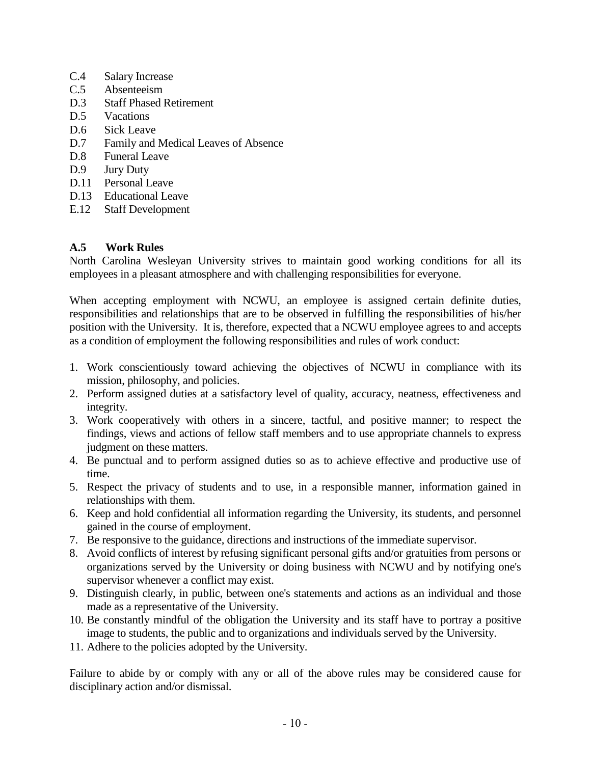- C.4 Salary Increase
- C.5 Absenteeism
- D.3 Staff Phased Retirement
- D.5 Vacations
- D.6 Sick Leave
- D.7 Family and Medical Leaves of Absence
- D.8 Funeral Leave
- D.9 Jury Duty
- D.11 Personal Leave
- D.13 Educational Leave
- E.12 Staff Development

#### **A.5 Work Rules**

North Carolina Wesleyan University strives to maintain good working conditions for all its employees in a pleasant atmosphere and with challenging responsibilities for everyone.

When accepting employment with NCWU, an employee is assigned certain definite duties, responsibilities and relationships that are to be observed in fulfilling the responsibilities of his/her position with the University. It is, therefore, expected that a NCWU employee agrees to and accepts as a condition of employment the following responsibilities and rules of work conduct:

- 1. Work conscientiously toward achieving the objectives of NCWU in compliance with its mission, philosophy, and policies.
- 2. Perform assigned duties at a satisfactory level of quality, accuracy, neatness, effectiveness and integrity.
- 3. Work cooperatively with others in a sincere, tactful, and positive manner; to respect the findings, views and actions of fellow staff members and to use appropriate channels to express judgment on these matters.
- 4. Be punctual and to perform assigned duties so as to achieve effective and productive use of time.
- 5. Respect the privacy of students and to use, in a responsible manner, information gained in relationships with them.
- 6. Keep and hold confidential all information regarding the University, its students, and personnel gained in the course of employment.
- 7. Be responsive to the guidance, directions and instructions of the immediate supervisor.
- 8. Avoid conflicts of interest by refusing significant personal gifts and/or gratuities from persons or organizations served by the University or doing business with NCWU and by notifying one's supervisor whenever a conflict may exist.
- 9. Distinguish clearly, in public, between one's statements and actions as an individual and those made as a representative of the University.
- 10. Be constantly mindful of the obligation the University and its staff have to portray a positive image to students, the public and to organizations and individuals served by the University.
- 11. Adhere to the policies adopted by the University.

Failure to abide by or comply with any or all of the above rules may be considered cause for disciplinary action and/or dismissal.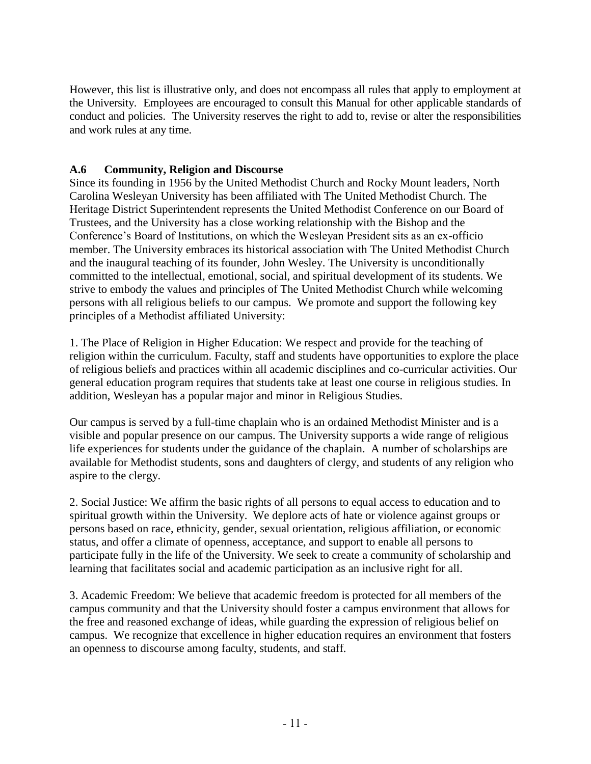However, this list is illustrative only, and does not encompass all rules that apply to employment at the University. Employees are encouraged to consult this Manual for other applicable standards of conduct and policies. The University reserves the right to add to, revise or alter the responsibilities and work rules at any time.

# **A.6 Community, Religion and Discourse**

Since its founding in 1956 by the United Methodist Church and Rocky Mount leaders, North Carolina Wesleyan University has been affiliated with The United Methodist Church. The Heritage District Superintendent represents the United Methodist Conference on our Board of Trustees, and the University has a close working relationship with the Bishop and the Conference's Board of Institutions, on which the Wesleyan President sits as an ex-officio member. The University embraces its historical association with The United Methodist Church and the inaugural teaching of its founder, John Wesley. The University is unconditionally committed to the intellectual, emotional, social, and spiritual development of its students. We strive to embody the values and principles of The United Methodist Church while welcoming persons with all religious beliefs to our campus. We promote and support the following key principles of a Methodist affiliated University:

1. The Place of Religion in Higher Education: We respect and provide for the teaching of religion within the curriculum. Faculty, staff and students have opportunities to explore the place of religious beliefs and practices within all academic disciplines and co-curricular activities. Our general education program requires that students take at least one course in religious studies. In addition, Wesleyan has a popular major and minor in Religious Studies.

Our campus is served by a full-time chaplain who is an ordained Methodist Minister and is a visible and popular presence on our campus. The University supports a wide range of religious life experiences for students under the guidance of the chaplain. A number of scholarships are available for Methodist students, sons and daughters of clergy, and students of any religion who aspire to the clergy.

2. Social Justice: We affirm the basic rights of all persons to equal access to education and to spiritual growth within the University. We deplore acts of hate or violence against groups or persons based on race, ethnicity, gender, sexual orientation, religious affiliation, or economic status, and offer a climate of openness, acceptance, and support to enable all persons to participate fully in the life of the University. We seek to create a community of scholarship and learning that facilitates social and academic participation as an inclusive right for all.

3. Academic Freedom: We believe that academic freedom is protected for all members of the campus community and that the University should foster a campus environment that allows for the free and reasoned exchange of ideas, while guarding the expression of religious belief on campus. We recognize that excellence in higher education requires an environment that fosters an openness to discourse among faculty, students, and staff.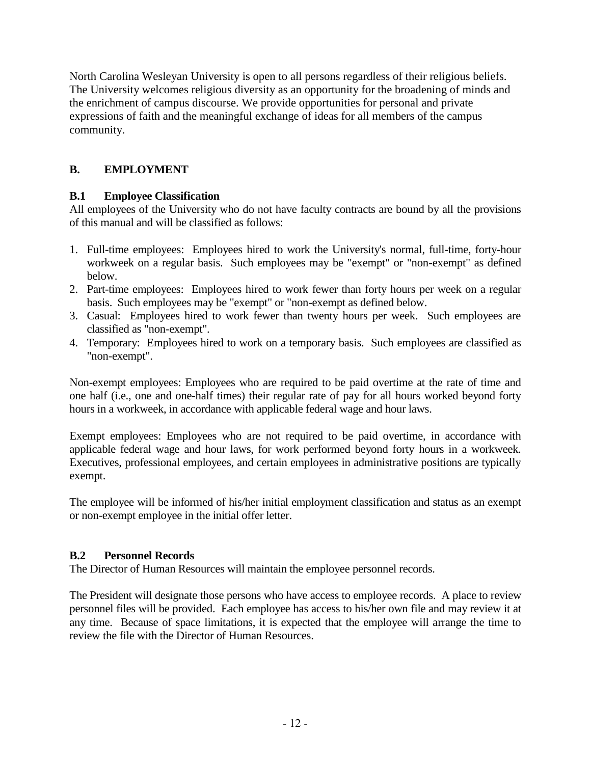North Carolina Wesleyan University is open to all persons regardless of their religious beliefs. The University welcomes religious diversity as an opportunity for the broadening of minds and the enrichment of campus discourse. We provide opportunities for personal and private expressions of faith and the meaningful exchange of ideas for all members of the campus community.

# **B. EMPLOYMENT**

# **B.1 Employee Classification**

All employees of the University who do not have faculty contracts are bound by all the provisions of this manual and will be classified as follows:

- 1. Full-time employees: Employees hired to work the University's normal, full-time, forty-hour workweek on a regular basis. Such employees may be "exempt" or "non-exempt" as defined below.
- 2. Part-time employees: Employees hired to work fewer than forty hours per week on a regular basis. Such employees may be "exempt" or "non-exempt as defined below.
- 3. Casual: Employees hired to work fewer than twenty hours per week. Such employees are classified as "non-exempt".
- 4. Temporary: Employees hired to work on a temporary basis. Such employees are classified as "non-exempt".

Non-exempt employees: Employees who are required to be paid overtime at the rate of time and one half (i.e., one and one-half times) their regular rate of pay for all hours worked beyond forty hours in a workweek, in accordance with applicable federal wage and hour laws.

Exempt employees: Employees who are not required to be paid overtime, in accordance with applicable federal wage and hour laws, for work performed beyond forty hours in a workweek. Executives, professional employees, and certain employees in administrative positions are typically exempt.

The employee will be informed of his/her initial employment classification and status as an exempt or non-exempt employee in the initial offer letter.

# **B.2 Personnel Records**

The Director of Human Resources will maintain the employee personnel records.

The President will designate those persons who have access to employee records. A place to review personnel files will be provided. Each employee has access to his/her own file and may review it at any time. Because of space limitations, it is expected that the employee will arrange the time to review the file with the Director of Human Resources.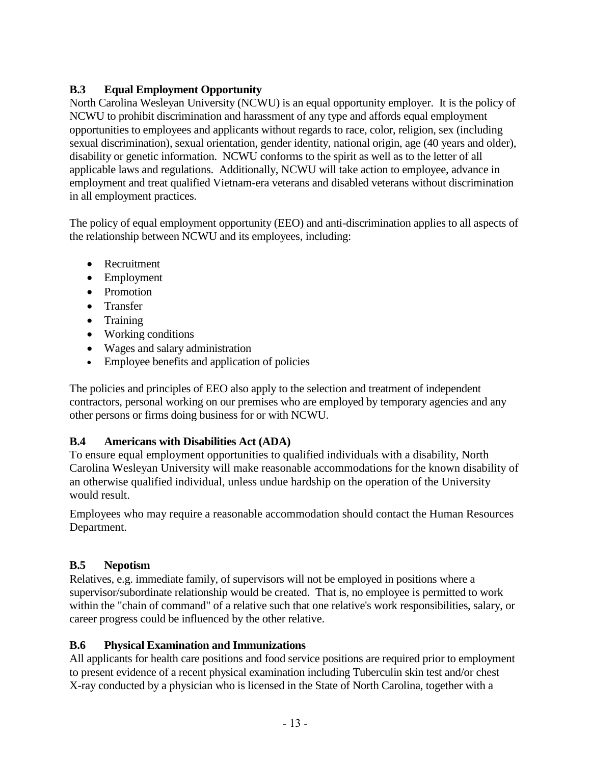# **B.3 Equal Employment Opportunity**

North Carolina Wesleyan University (NCWU) is an equal opportunity employer. It is the policy of NCWU to prohibit discrimination and harassment of any type and affords equal employment opportunities to employees and applicants without regards to race, color, religion, sex (including sexual discrimination), sexual orientation, gender identity, national origin, age (40 years and older), disability or genetic information. NCWU conforms to the spirit as well as to the letter of all applicable laws and regulations. Additionally, NCWU will take action to employee, advance in employment and treat qualified Vietnam-era veterans and disabled veterans without discrimination in all employment practices.

The policy of equal employment opportunity (EEO) and anti-discrimination applies to all aspects of the relationship between NCWU and its employees, including:

- Recruitment
- Employment
- Promotion
- Transfer
- Training
- Working conditions
- Wages and salary administration
- Employee benefits and application of policies

The policies and principles of EEO also apply to the selection and treatment of independent contractors, personal working on our premises who are employed by temporary agencies and any other persons or firms doing business for or with NCWU.

# **B.4 Americans with Disabilities Act (ADA)**

To ensure equal employment opportunities to qualified individuals with a disability, North Carolina Wesleyan University will make reasonable accommodations for the known disability of an otherwise qualified individual, unless undue hardship on the operation of the University would result.

Employees who may require a reasonable accommodation should contact the Human Resources Department.

# **B.5 Nepotism**

Relatives, e.g. immediate family, of supervisors will not be employed in positions where a supervisor/subordinate relationship would be created. That is, no employee is permitted to work within the "chain of command" of a relative such that one relative's work responsibilities, salary, or career progress could be influenced by the other relative.

# **B.6 Physical Examination and Immunizations**

All applicants for health care positions and food service positions are required prior to employment to present evidence of a recent physical examination including Tuberculin skin test and/or chest X-ray conducted by a physician who is licensed in the State of North Carolina, together with a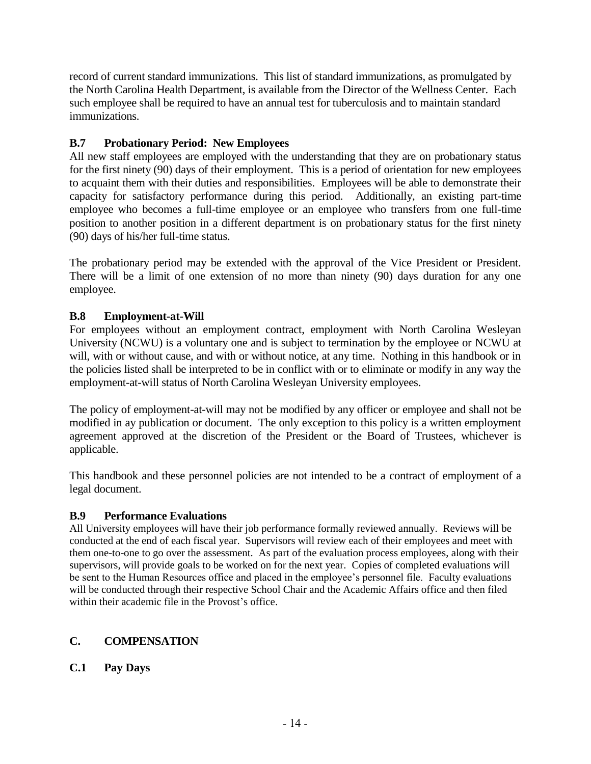record of current standard immunizations. This list of standard immunizations, as promulgated by the North Carolina Health Department, is available from the Director of the Wellness Center. Each such employee shall be required to have an annual test for tuberculosis and to maintain standard immunizations.

## **B.7 Probationary Period: New Employees**

All new staff employees are employed with the understanding that they are on probationary status for the first ninety (90) days of their employment. This is a period of orientation for new employees to acquaint them with their duties and responsibilities. Employees will be able to demonstrate their capacity for satisfactory performance during this period. Additionally, an existing part-time employee who becomes a full-time employee or an employee who transfers from one full-time position to another position in a different department is on probationary status for the first ninety (90) days of his/her full-time status.

The probationary period may be extended with the approval of the Vice President or President. There will be a limit of one extension of no more than ninety (90) days duration for any one employee.

## **B.8 Employment-at-Will**

For employees without an employment contract, employment with North Carolina Wesleyan University (NCWU) is a voluntary one and is subject to termination by the employee or NCWU at will, with or without cause, and with or without notice, at any time. Nothing in this handbook or in the policies listed shall be interpreted to be in conflict with or to eliminate or modify in any way the employment-at-will status of North Carolina Wesleyan University employees.

The policy of employment-at-will may not be modified by any officer or employee and shall not be modified in ay publication or document. The only exception to this policy is a written employment agreement approved at the discretion of the President or the Board of Trustees, whichever is applicable.

This handbook and these personnel policies are not intended to be a contract of employment of a legal document.

#### **B.9 Performance Evaluations**

All University employees will have their job performance formally reviewed annually. Reviews will be conducted at the end of each fiscal year. Supervisors will review each of their employees and meet with them one-to-one to go over the assessment. As part of the evaluation process employees, along with their supervisors, will provide goals to be worked on for the next year. Copies of completed evaluations will be sent to the Human Resources office and placed in the employee's personnel file. Faculty evaluations will be conducted through their respective School Chair and the Academic Affairs office and then filed within their academic file in the Provost's office.

# **C. COMPENSATION**

# **C.1 Pay Days**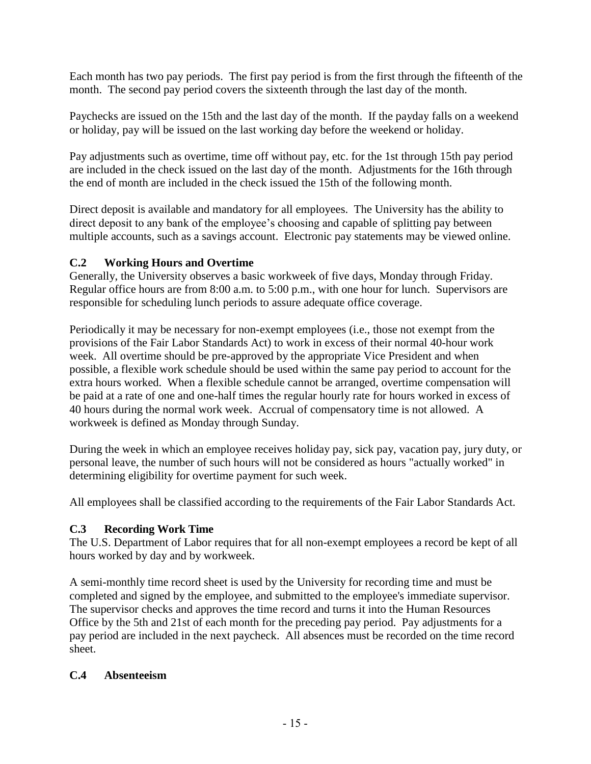Each month has two pay periods. The first pay period is from the first through the fifteenth of the month. The second pay period covers the sixteenth through the last day of the month.

Paychecks are issued on the 15th and the last day of the month. If the payday falls on a weekend or holiday, pay will be issued on the last working day before the weekend or holiday.

Pay adjustments such as overtime, time off without pay, etc. for the 1st through 15th pay period are included in the check issued on the last day of the month. Adjustments for the 16th through the end of month are included in the check issued the 15th of the following month.

Direct deposit is available and mandatory for all employees. The University has the ability to direct deposit to any bank of the employee's choosing and capable of splitting pay between multiple accounts, such as a savings account. Electronic pay statements may be viewed online.

# **C.2 Working Hours and Overtime**

Generally, the University observes a basic workweek of five days, Monday through Friday. Regular office hours are from 8:00 a.m. to 5:00 p.m., with one hour for lunch. Supervisors are responsible for scheduling lunch periods to assure adequate office coverage.

Periodically it may be necessary for non-exempt employees (i.e., those not exempt from the provisions of the Fair Labor Standards Act) to work in excess of their normal 40-hour work week. All overtime should be pre-approved by the appropriate Vice President and when possible, a flexible work schedule should be used within the same pay period to account for the extra hours worked. When a flexible schedule cannot be arranged, overtime compensation will be paid at a rate of one and one-half times the regular hourly rate for hours worked in excess of 40 hours during the normal work week. Accrual of compensatory time is not allowed. A workweek is defined as Monday through Sunday.

During the week in which an employee receives holiday pay, sick pay, vacation pay, jury duty, or personal leave, the number of such hours will not be considered as hours "actually worked" in determining eligibility for overtime payment for such week.

All employees shall be classified according to the requirements of the Fair Labor Standards Act.

# **C.3 Recording Work Time**

The U.S. Department of Labor requires that for all non-exempt employees a record be kept of all hours worked by day and by workweek.

A semi-monthly time record sheet is used by the University for recording time and must be completed and signed by the employee, and submitted to the employee's immediate supervisor. The supervisor checks and approves the time record and turns it into the Human Resources Office by the 5th and 21st of each month for the preceding pay period. Pay adjustments for a pay period are included in the next paycheck. All absences must be recorded on the time record sheet.

# **C.4 Absenteeism**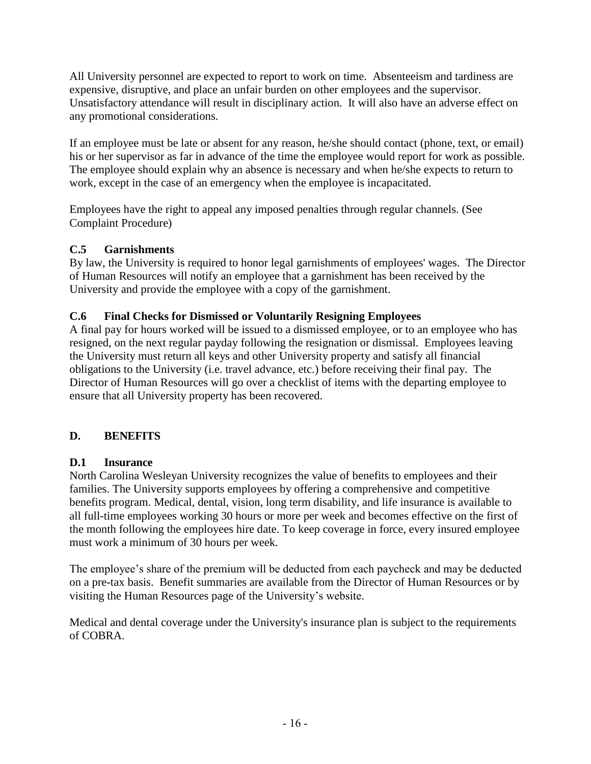All University personnel are expected to report to work on time. Absenteeism and tardiness are expensive, disruptive, and place an unfair burden on other employees and the supervisor. Unsatisfactory attendance will result in disciplinary action. It will also have an adverse effect on any promotional considerations.

If an employee must be late or absent for any reason, he/she should contact (phone, text, or email) his or her supervisor as far in advance of the time the employee would report for work as possible. The employee should explain why an absence is necessary and when he/she expects to return to work, except in the case of an emergency when the employee is incapacitated.

Employees have the right to appeal any imposed penalties through regular channels. (See Complaint Procedure)

## **C.5 Garnishments**

By law, the University is required to honor legal garnishments of employees' wages. The Director of Human Resources will notify an employee that a garnishment has been received by the University and provide the employee with a copy of the garnishment.

## **C.6 Final Checks for Dismissed or Voluntarily Resigning Employees**

A final pay for hours worked will be issued to a dismissed employee, or to an employee who has resigned, on the next regular payday following the resignation or dismissal. Employees leaving the University must return all keys and other University property and satisfy all financial obligations to the University (i.e. travel advance, etc.) before receiving their final pay. The Director of Human Resources will go over a checklist of items with the departing employee to ensure that all University property has been recovered.

# **D. BENEFITS**

#### **D.1 Insurance**

North Carolina Wesleyan University recognizes the value of benefits to employees and their families. The University supports employees by offering a comprehensive and competitive benefits program. Medical, dental, vision, long term disability, and life insurance is available to all full-time employees working 30 hours or more per week and becomes effective on the first of the month following the employees hire date. To keep coverage in force, every insured employee must work a minimum of 30 hours per week.

The employee's share of the premium will be deducted from each paycheck and may be deducted on a pre-tax basis. Benefit summaries are available from the Director of Human Resources or by visiting the Human Resources page of the University's website.

Medical and dental coverage under the University's insurance plan is subject to the requirements of COBRA.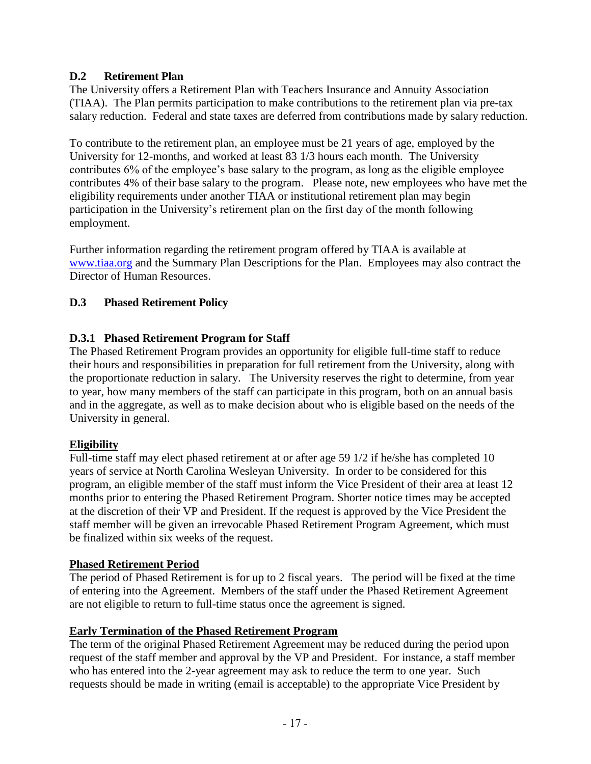# **D.2 Retirement Plan**

The University offers a Retirement Plan with Teachers Insurance and Annuity Association (TIAA). The Plan permits participation to make contributions to the retirement plan via pre-tax salary reduction. Federal and state taxes are deferred from contributions made by salary reduction.

To contribute to the retirement plan, an employee must be 21 years of age, employed by the University for 12-months, and worked at least 83 1/3 hours each month. The University contributes 6% of the employee's base salary to the program, as long as the eligible employee contributes 4% of their base salary to the program. Please note, new employees who have met the eligibility requirements under another TIAA or institutional retirement plan may begin participation in the University's retirement plan on the first day of the month following employment.

Further information regarding the retirement program offered by TIAA is available at [www.tiaa.org](http://www.tiaa.org/) and the Summary Plan Descriptions for the Plan. Employees may also contract the Director of Human Resources.

## **D.3 Phased Retirement Policy**

## **D.3.1 Phased Retirement Program for Staff**

The Phased Retirement Program provides an opportunity for eligible full-time staff to reduce their hours and responsibilities in preparation for full retirement from the University, along with the proportionate reduction in salary. The University reserves the right to determine, from year to year, how many members of the staff can participate in this program, both on an annual basis and in the aggregate, as well as to make decision about who is eligible based on the needs of the University in general.

#### **Eligibility**

Full-time staff may elect phased retirement at or after age 59 1/2 if he/she has completed 10 years of service at North Carolina Wesleyan University. In order to be considered for this program, an eligible member of the staff must inform the Vice President of their area at least 12 months prior to entering the Phased Retirement Program. Shorter notice times may be accepted at the discretion of their VP and President. If the request is approved by the Vice President the staff member will be given an irrevocable Phased Retirement Program Agreement, which must be finalized within six weeks of the request.

#### **Phased Retirement Period**

The period of Phased Retirement is for up to 2 fiscal years. The period will be fixed at the time of entering into the Agreement. Members of the staff under the Phased Retirement Agreement are not eligible to return to full-time status once the agreement is signed.

#### **Early Termination of the Phased Retirement Program**

The term of the original Phased Retirement Agreement may be reduced during the period upon request of the staff member and approval by the VP and President. For instance, a staff member who has entered into the 2-year agreement may ask to reduce the term to one year. Such requests should be made in writing (email is acceptable) to the appropriate Vice President by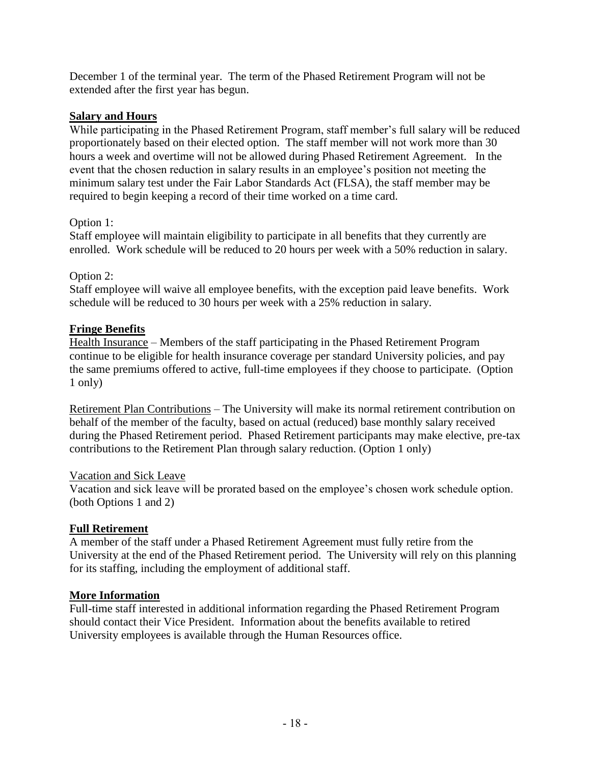December 1 of the terminal year. The term of the Phased Retirement Program will not be extended after the first year has begun.

#### **Salary and Hours**

While participating in the Phased Retirement Program, staff member's full salary will be reduced proportionately based on their elected option. The staff member will not work more than 30 hours a week and overtime will not be allowed during Phased Retirement Agreement. In the event that the chosen reduction in salary results in an employee's position not meeting the minimum salary test under the Fair Labor Standards Act (FLSA), the staff member may be required to begin keeping a record of their time worked on a time card.

#### Option 1:

Staff employee will maintain eligibility to participate in all benefits that they currently are enrolled. Work schedule will be reduced to 20 hours per week with a 50% reduction in salary.

#### Option 2:

Staff employee will waive all employee benefits, with the exception paid leave benefits. Work schedule will be reduced to 30 hours per week with a 25% reduction in salary.

#### **Fringe Benefits**

Health Insurance – Members of the staff participating in the Phased Retirement Program continue to be eligible for health insurance coverage per standard University policies, and pay the same premiums offered to active, full-time employees if they choose to participate. (Option 1 only)

Retirement Plan Contributions – The University will make its normal retirement contribution on behalf of the member of the faculty, based on actual (reduced) base monthly salary received during the Phased Retirement period. Phased Retirement participants may make elective, pre-tax contributions to the Retirement Plan through salary reduction. (Option 1 only)

#### Vacation and Sick Leave

Vacation and sick leave will be prorated based on the employee's chosen work schedule option. (both Options 1 and 2)

#### **Full Retirement**

A member of the staff under a Phased Retirement Agreement must fully retire from the University at the end of the Phased Retirement period. The University will rely on this planning for its staffing, including the employment of additional staff.

#### **More Information**

Full-time staff interested in additional information regarding the Phased Retirement Program should contact their Vice President. Information about the benefits available to retired University employees is available through the Human Resources office.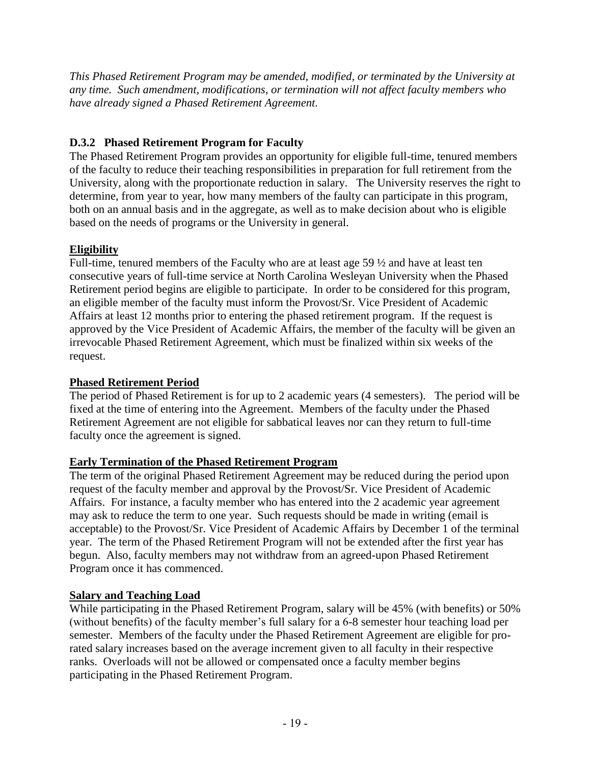*This Phased Retirement Program may be amended, modified, or terminated by the University at any time. Such amendment, modifications, or termination will not affect faculty members who have already signed a Phased Retirement Agreement.*

# **D.3.2 Phased Retirement Program for Faculty**

The Phased Retirement Program provides an opportunity for eligible full-time, tenured members of the faculty to reduce their teaching responsibilities in preparation for full retirement from the University, along with the proportionate reduction in salary. The University reserves the right to determine, from year to year, how many members of the faulty can participate in this program, both on an annual basis and in the aggregate, as well as to make decision about who is eligible based on the needs of programs or the University in general.

# **Eligibility**

Full-time, tenured members of the Faculty who are at least age 59 ½ and have at least ten consecutive years of full-time service at North Carolina Wesleyan University when the Phased Retirement period begins are eligible to participate. In order to be considered for this program, an eligible member of the faculty must inform the Provost/Sr. Vice President of Academic Affairs at least 12 months prior to entering the phased retirement program. If the request is approved by the Vice President of Academic Affairs, the member of the faculty will be given an irrevocable Phased Retirement Agreement, which must be finalized within six weeks of the request.

# **Phased Retirement Period**

The period of Phased Retirement is for up to 2 academic years (4 semesters). The period will be fixed at the time of entering into the Agreement. Members of the faculty under the Phased Retirement Agreement are not eligible for sabbatical leaves nor can they return to full-time faculty once the agreement is signed.

# **Early Termination of the Phased Retirement Program**

The term of the original Phased Retirement Agreement may be reduced during the period upon request of the faculty member and approval by the Provost/Sr. Vice President of Academic Affairs. For instance, a faculty member who has entered into the 2 academic year agreement may ask to reduce the term to one year. Such requests should be made in writing (email is acceptable) to the Provost/Sr. Vice President of Academic Affairs by December 1 of the terminal year. The term of the Phased Retirement Program will not be extended after the first year has begun. Also, faculty members may not withdraw from an agreed-upon Phased Retirement Program once it has commenced.

# **Salary and Teaching Load**

While participating in the Phased Retirement Program, salary will be 45% (with benefits) or 50% (without benefits) of the faculty member's full salary for a 6-8 semester hour teaching load per semester. Members of the faculty under the Phased Retirement Agreement are eligible for prorated salary increases based on the average increment given to all faculty in their respective ranks. Overloads will not be allowed or compensated once a faculty member begins participating in the Phased Retirement Program.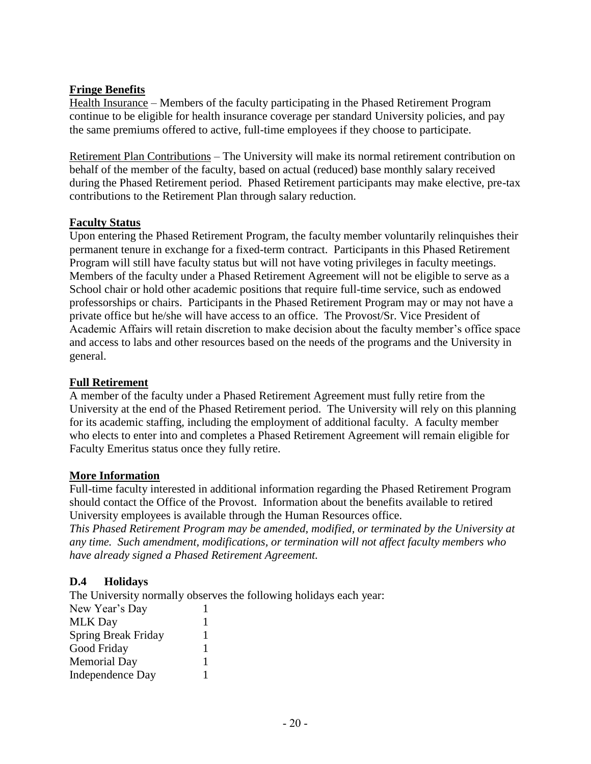# **Fringe Benefits**

Health Insurance – Members of the faculty participating in the Phased Retirement Program continue to be eligible for health insurance coverage per standard University policies, and pay the same premiums offered to active, full-time employees if they choose to participate.

Retirement Plan Contributions – The University will make its normal retirement contribution on behalf of the member of the faculty, based on actual (reduced) base monthly salary received during the Phased Retirement period. Phased Retirement participants may make elective, pre-tax contributions to the Retirement Plan through salary reduction.

#### **Faculty Status**

Upon entering the Phased Retirement Program, the faculty member voluntarily relinquishes their permanent tenure in exchange for a fixed-term contract. Participants in this Phased Retirement Program will still have faculty status but will not have voting privileges in faculty meetings. Members of the faculty under a Phased Retirement Agreement will not be eligible to serve as a School chair or hold other academic positions that require full-time service, such as endowed professorships or chairs. Participants in the Phased Retirement Program may or may not have a private office but he/she will have access to an office. The Provost/Sr. Vice President of Academic Affairs will retain discretion to make decision about the faculty member's office space and access to labs and other resources based on the needs of the programs and the University in general.

#### **Full Retirement**

A member of the faculty under a Phased Retirement Agreement must fully retire from the University at the end of the Phased Retirement period. The University will rely on this planning for its academic staffing, including the employment of additional faculty. A faculty member who elects to enter into and completes a Phased Retirement Agreement will remain eligible for Faculty Emeritus status once they fully retire.

#### **More Information**

Full-time faculty interested in additional information regarding the Phased Retirement Program should contact the Office of the Provost. Information about the benefits available to retired University employees is available through the Human Resources office.

*This Phased Retirement Program may be amended, modified, or terminated by the University at any time. Such amendment, modifications, or termination will not affect faculty members who have already signed a Phased Retirement Agreement.*

#### **D.4 Holidays**

The University normally observes the following holidays each year: New Year's Day 1 MLK Day 1 Spring Break Friday 1 Good Friday 1 Memorial Day 1 Independence Day 1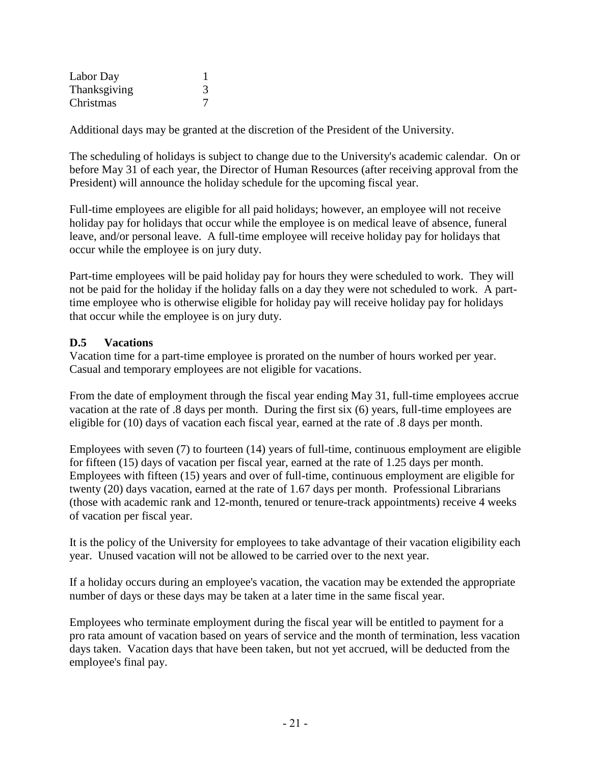| Labor Day    |  |
|--------------|--|
| Thanksgiving |  |
| Christmas    |  |

Additional days may be granted at the discretion of the President of the University.

The scheduling of holidays is subject to change due to the University's academic calendar. On or before May 31 of each year, the Director of Human Resources (after receiving approval from the President) will announce the holiday schedule for the upcoming fiscal year.

Full-time employees are eligible for all paid holidays; however, an employee will not receive holiday pay for holidays that occur while the employee is on medical leave of absence, funeral leave, and/or personal leave. A full-time employee will receive holiday pay for holidays that occur while the employee is on jury duty.

Part-time employees will be paid holiday pay for hours they were scheduled to work. They will not be paid for the holiday if the holiday falls on a day they were not scheduled to work. A parttime employee who is otherwise eligible for holiday pay will receive holiday pay for holidays that occur while the employee is on jury duty.

## **D.5 Vacations**

Vacation time for a part-time employee is prorated on the number of hours worked per year. Casual and temporary employees are not eligible for vacations.

From the date of employment through the fiscal year ending May 31, full-time employees accrue vacation at the rate of .8 days per month. During the first six (6) years, full-time employees are eligible for (10) days of vacation each fiscal year, earned at the rate of .8 days per month.

Employees with seven (7) to fourteen (14) years of full-time, continuous employment are eligible for fifteen (15) days of vacation per fiscal year, earned at the rate of 1.25 days per month. Employees with fifteen (15) years and over of full-time, continuous employment are eligible for twenty (20) days vacation, earned at the rate of 1.67 days per month. Professional Librarians (those with academic rank and 12-month, tenured or tenure-track appointments) receive 4 weeks of vacation per fiscal year.

It is the policy of the University for employees to take advantage of their vacation eligibility each year. Unused vacation will not be allowed to be carried over to the next year.

If a holiday occurs during an employee's vacation, the vacation may be extended the appropriate number of days or these days may be taken at a later time in the same fiscal year.

Employees who terminate employment during the fiscal year will be entitled to payment for a pro rata amount of vacation based on years of service and the month of termination, less vacation days taken. Vacation days that have been taken, but not yet accrued, will be deducted from the employee's final pay.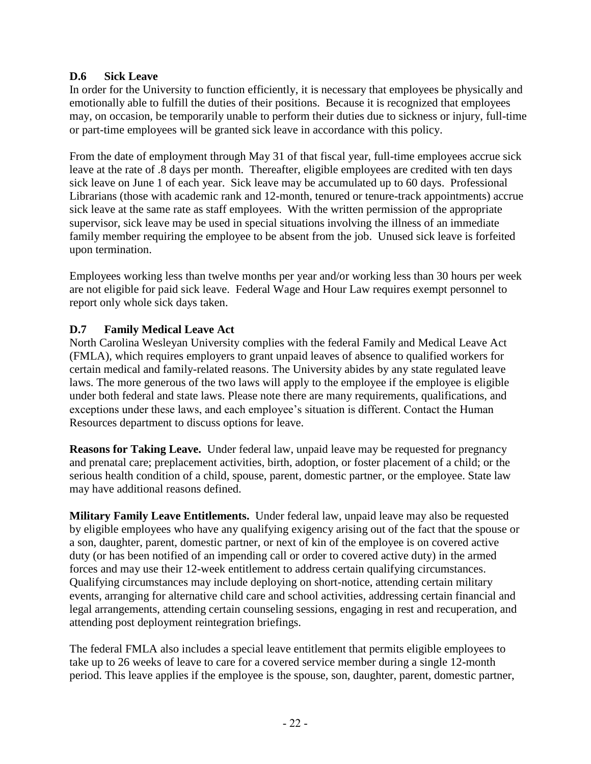## **D.6 Sick Leave**

In order for the University to function efficiently, it is necessary that employees be physically and emotionally able to fulfill the duties of their positions. Because it is recognized that employees may, on occasion, be temporarily unable to perform their duties due to sickness or injury, full-time or part-time employees will be granted sick leave in accordance with this policy.

From the date of employment through May 31 of that fiscal year, full-time employees accrue sick leave at the rate of .8 days per month. Thereafter, eligible employees are credited with ten days sick leave on June 1 of each year. Sick leave may be accumulated up to 60 days. Professional Librarians (those with academic rank and 12-month, tenured or tenure-track appointments) accrue sick leave at the same rate as staff employees. With the written permission of the appropriate supervisor, sick leave may be used in special situations involving the illness of an immediate family member requiring the employee to be absent from the job. Unused sick leave is forfeited upon termination.

Employees working less than twelve months per year and/or working less than 30 hours per week are not eligible for paid sick leave. Federal Wage and Hour Law requires exempt personnel to report only whole sick days taken.

## **D.7 Family Medical Leave Act**

North Carolina Wesleyan University complies with the federal Family and Medical Leave Act (FMLA), which requires employers to grant unpaid leaves of absence to qualified workers for certain medical and family-related reasons. The University abides by any state regulated leave laws. The more generous of the two laws will apply to the employee if the employee is eligible under both federal and state laws. Please note there are many requirements, qualifications, and exceptions under these laws, and each employee's situation is different. Contact the Human Resources department to discuss options for leave.

**Reasons for Taking Leave.** Under federal law, unpaid leave may be requested for pregnancy and prenatal care; preplacement activities, birth, adoption, or foster placement of a child; or the serious health condition of a child, spouse, parent, domestic partner, or the employee. State law may have additional reasons defined.

**Military Family Leave Entitlements.** Under federal law, unpaid leave may also be requested by eligible employees who have any qualifying exigency arising out of the fact that the spouse or a son, daughter, parent, domestic partner, or next of kin of the employee is on covered active duty (or has been notified of an impending call or order to covered active duty) in the armed forces and may use their 12-week entitlement to address certain qualifying circumstances. Qualifying circumstances may include deploying on short-notice, attending certain military events, arranging for alternative child care and school activities, addressing certain financial and legal arrangements, attending certain counseling sessions, engaging in rest and recuperation, and attending post deployment reintegration briefings.

The federal FMLA also includes a special leave entitlement that permits eligible employees to take up to 26 weeks of leave to care for a covered service member during a single 12-month period. This leave applies if the employee is the spouse, son, daughter, parent, domestic partner,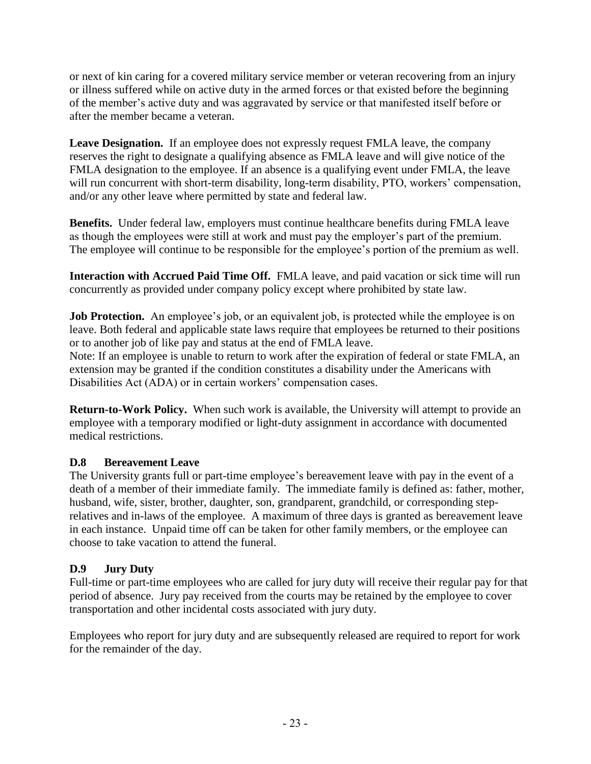or next of kin caring for a covered military service member or veteran recovering from an injury or illness suffered while on active duty in the armed forces or that existed before the beginning of the member's active duty and was aggravated by service or that manifested itself before or after the member became a veteran.

Leave Designation. If an employee does not expressly request FMLA leave, the company reserves the right to designate a qualifying absence as FMLA leave and will give notice of the FMLA designation to the employee. If an absence is a qualifying event under FMLA, the leave will run concurrent with short-term disability, long-term disability, PTO, workers' compensation, and/or any other leave where permitted by state and federal law.

**Benefits.** Under federal law, employers must continue healthcare benefits during FMLA leave as though the employees were still at work and must pay the employer's part of the premium. The employee will continue to be responsible for the employee's portion of the premium as well.

**Interaction with Accrued Paid Time Off.** FMLA leave, and paid vacation or sick time will run concurrently as provided under company policy except where prohibited by state law.

**Job Protection.** An employee's job, or an equivalent job, is protected while the employee is on leave. Both federal and applicable state laws require that employees be returned to their positions or to another job of like pay and status at the end of FMLA leave.

Note: If an employee is unable to return to work after the expiration of federal or state FMLA, an extension may be granted if the condition constitutes a disability under the Americans with Disabilities Act (ADA) or in certain workers' compensation cases.

**Return-to-Work Policy.** When such work is available, the University will attempt to provide an employee with a temporary modified or light-duty assignment in accordance with documented medical restrictions.

#### **D.8 Bereavement Leave**

The University grants full or part-time employee's bereavement leave with pay in the event of a death of a member of their immediate family. The immediate family is defined as: father, mother, husband, wife, sister, brother, daughter, son, grandparent, grandchild, or corresponding steprelatives and in-laws of the employee. A maximum of three days is granted as bereavement leave in each instance. Unpaid time off can be taken for other family members, or the employee can choose to take vacation to attend the funeral.

# **D.9 Jury Duty**

Full-time or part-time employees who are called for jury duty will receive their regular pay for that period of absence. Jury pay received from the courts may be retained by the employee to cover transportation and other incidental costs associated with jury duty.

Employees who report for jury duty and are subsequently released are required to report for work for the remainder of the day.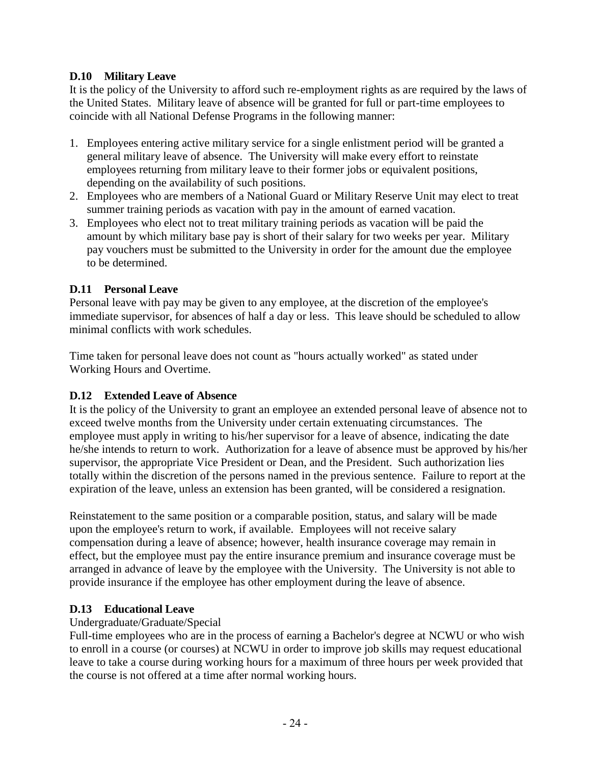## **D.10 Military Leave**

It is the policy of the University to afford such re-employment rights as are required by the laws of the United States. Military leave of absence will be granted for full or part-time employees to coincide with all National Defense Programs in the following manner:

- 1. Employees entering active military service for a single enlistment period will be granted a general military leave of absence. The University will make every effort to reinstate employees returning from military leave to their former jobs or equivalent positions, depending on the availability of such positions.
- 2. Employees who are members of a National Guard or Military Reserve Unit may elect to treat summer training periods as vacation with pay in the amount of earned vacation.
- 3. Employees who elect not to treat military training periods as vacation will be paid the amount by which military base pay is short of their salary for two weeks per year. Military pay vouchers must be submitted to the University in order for the amount due the employee to be determined.

## **D.11 Personal Leave**

Personal leave with pay may be given to any employee, at the discretion of the employee's immediate supervisor, for absences of half a day or less. This leave should be scheduled to allow minimal conflicts with work schedules.

Time taken for personal leave does not count as "hours actually worked" as stated under Working Hours and Overtime.

#### **D.12 Extended Leave of Absence**

It is the policy of the University to grant an employee an extended personal leave of absence not to exceed twelve months from the University under certain extenuating circumstances. The employee must apply in writing to his/her supervisor for a leave of absence, indicating the date he/she intends to return to work. Authorization for a leave of absence must be approved by his/her supervisor, the appropriate Vice President or Dean, and the President. Such authorization lies totally within the discretion of the persons named in the previous sentence. Failure to report at the expiration of the leave, unless an extension has been granted, will be considered a resignation.

Reinstatement to the same position or a comparable position, status, and salary will be made upon the employee's return to work, if available. Employees will not receive salary compensation during a leave of absence; however, health insurance coverage may remain in effect, but the employee must pay the entire insurance premium and insurance coverage must be arranged in advance of leave by the employee with the University. The University is not able to provide insurance if the employee has other employment during the leave of absence.

#### **D.13 Educational Leave**

#### Undergraduate/Graduate/Special

Full-time employees who are in the process of earning a Bachelor's degree at NCWU or who wish to enroll in a course (or courses) at NCWU in order to improve job skills may request educational leave to take a course during working hours for a maximum of three hours per week provided that the course is not offered at a time after normal working hours.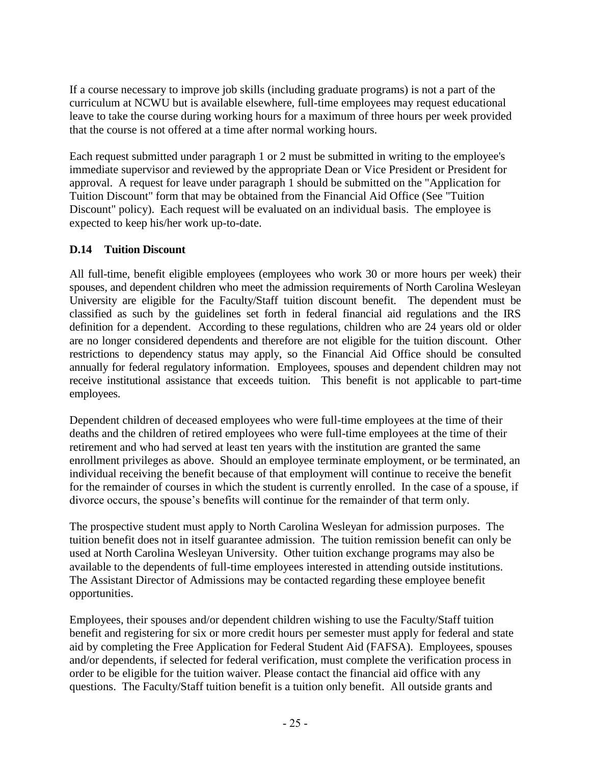If a course necessary to improve job skills (including graduate programs) is not a part of the curriculum at NCWU but is available elsewhere, full-time employees may request educational leave to take the course during working hours for a maximum of three hours per week provided that the course is not offered at a time after normal working hours.

Each request submitted under paragraph 1 or 2 must be submitted in writing to the employee's immediate supervisor and reviewed by the appropriate Dean or Vice President or President for approval. A request for leave under paragraph 1 should be submitted on the "Application for Tuition Discount" form that may be obtained from the Financial Aid Office (See "Tuition Discount" policy). Each request will be evaluated on an individual basis. The employee is expected to keep his/her work up-to-date.

## **D.14 Tuition Discount**

All full-time, benefit eligible employees (employees who work 30 or more hours per week) their spouses, and dependent children who meet the admission requirements of North Carolina Wesleyan University are eligible for the Faculty/Staff tuition discount benefit. The dependent must be classified as such by the guidelines set forth in federal financial aid regulations and the IRS definition for a dependent. According to these regulations, children who are 24 years old or older are no longer considered dependents and therefore are not eligible for the tuition discount. Other restrictions to dependency status may apply, so the Financial Aid Office should be consulted annually for federal regulatory information. Employees, spouses and dependent children may not receive institutional assistance that exceeds tuition. This benefit is not applicable to part-time employees.

Dependent children of deceased employees who were full-time employees at the time of their deaths and the children of retired employees who were full-time employees at the time of their retirement and who had served at least ten years with the institution are granted the same enrollment privileges as above. Should an employee terminate employment, or be terminated, an individual receiving the benefit because of that employment will continue to receive the benefit for the remainder of courses in which the student is currently enrolled. In the case of a spouse, if divorce occurs, the spouse's benefits will continue for the remainder of that term only.

The prospective student must apply to North Carolina Wesleyan for admission purposes. The tuition benefit does not in itself guarantee admission. The tuition remission benefit can only be used at North Carolina Wesleyan University. Other tuition exchange programs may also be available to the dependents of full-time employees interested in attending outside institutions. The Assistant Director of Admissions may be contacted regarding these employee benefit opportunities.

Employees, their spouses and/or dependent children wishing to use the Faculty/Staff tuition benefit and registering for six or more credit hours per semester must apply for federal and state aid by completing the Free Application for Federal Student Aid (FAFSA). Employees, spouses and/or dependents, if selected for federal verification, must complete the verification process in order to be eligible for the tuition waiver. Please contact the financial aid office with any questions. The Faculty/Staff tuition benefit is a tuition only benefit. All outside grants and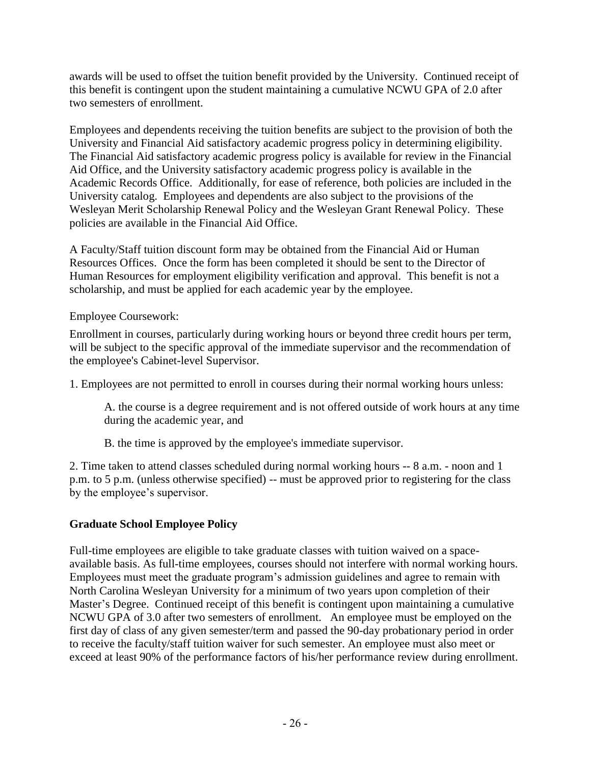awards will be used to offset the tuition benefit provided by the University. Continued receipt of this benefit is contingent upon the student maintaining a cumulative NCWU GPA of 2.0 after two semesters of enrollment.

Employees and dependents receiving the tuition benefits are subject to the provision of both the University and Financial Aid satisfactory academic progress policy in determining eligibility. The Financial Aid satisfactory academic progress policy is available for review in the Financial Aid Office, and the University satisfactory academic progress policy is available in the Academic Records Office. Additionally, for ease of reference, both policies are included in the University catalog. Employees and dependents are also subject to the provisions of the Wesleyan Merit Scholarship Renewal Policy and the Wesleyan Grant Renewal Policy. These policies are available in the Financial Aid Office.

A Faculty/Staff tuition discount form may be obtained from the Financial Aid or Human Resources Offices. Once the form has been completed it should be sent to the Director of Human Resources for employment eligibility verification and approval. This benefit is not a scholarship, and must be applied for each academic year by the employee.

# Employee Coursework:

Enrollment in courses, particularly during working hours or beyond three credit hours per term, will be subject to the specific approval of the immediate supervisor and the recommendation of the employee's Cabinet-level Supervisor.

1. Employees are not permitted to enroll in courses during their normal working hours unless:

A. the course is a degree requirement and is not offered outside of work hours at any time during the academic year, and

B. the time is approved by the employee's immediate supervisor.

2. Time taken to attend classes scheduled during normal working hours -- 8 a.m. - noon and 1 p.m. to 5 p.m. (unless otherwise specified) -- must be approved prior to registering for the class by the employee's supervisor.

# **Graduate School Employee Policy**

Full-time employees are eligible to take graduate classes with tuition waived on a spaceavailable basis. As full-time employees, courses should not interfere with normal working hours. Employees must meet the graduate program's admission guidelines and agree to remain with North Carolina Wesleyan University for a minimum of two years upon completion of their Master's Degree. Continued receipt of this benefit is contingent upon maintaining a cumulative NCWU GPA of 3.0 after two semesters of enrollment. An employee must be employed on the first day of class of any given semester/term and passed the 90-day probationary period in order to receive the faculty/staff tuition waiver for such semester. An employee must also meet or exceed at least 90% of the performance factors of his/her performance review during enrollment.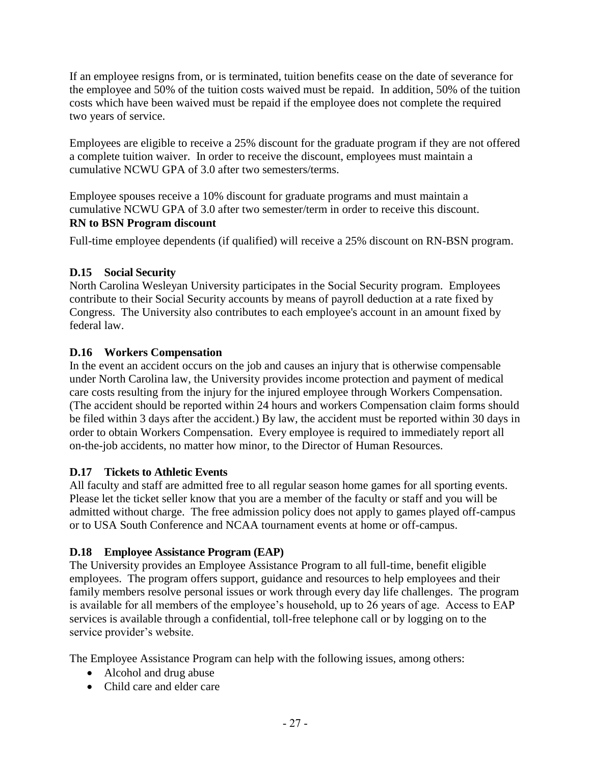If an employee resigns from, or is terminated, tuition benefits cease on the date of severance for the employee and 50% of the tuition costs waived must be repaid. In addition, 50% of the tuition costs which have been waived must be repaid if the employee does not complete the required two years of service.

Employees are eligible to receive a 25% discount for the graduate program if they are not offered a complete tuition waiver. In order to receive the discount, employees must maintain a cumulative NCWU GPA of 3.0 after two semesters/terms.

Employee spouses receive a 10% discount for graduate programs and must maintain a cumulative NCWU GPA of 3.0 after two semester/term in order to receive this discount. **RN to BSN Program discount**

Full-time employee dependents (if qualified) will receive a 25% discount on RN-BSN program.

## **D.15 Social Security**

North Carolina Wesleyan University participates in the Social Security program. Employees contribute to their Social Security accounts by means of payroll deduction at a rate fixed by Congress. The University also contributes to each employee's account in an amount fixed by federal law.

## **D.16 Workers Compensation**

In the event an accident occurs on the job and causes an injury that is otherwise compensable under North Carolina law, the University provides income protection and payment of medical care costs resulting from the injury for the injured employee through Workers Compensation. (The accident should be reported within 24 hours and workers Compensation claim forms should be filed within 3 days after the accident.) By law, the accident must be reported within 30 days in order to obtain Workers Compensation. Every employee is required to immediately report all on-the-job accidents, no matter how minor, to the Director of Human Resources.

#### **D.17 Tickets to Athletic Events**

All faculty and staff are admitted free to all regular season home games for all sporting events. Please let the ticket seller know that you are a member of the faculty or staff and you will be admitted without charge. The free admission policy does not apply to games played off-campus or to USA South Conference and NCAA tournament events at home or off-campus.

# **D.18 Employee Assistance Program (EAP)**

The University provides an Employee Assistance Program to all full-time, benefit eligible employees. The program offers support, guidance and resources to help employees and their family members resolve personal issues or work through every day life challenges. The program is available for all members of the employee's household, up to 26 years of age. Access to EAP services is available through a confidential, toll-free telephone call or by logging on to the service provider's website.

The Employee Assistance Program can help with the following issues, among others:

- Alcohol and drug abuse
- Child care and elder care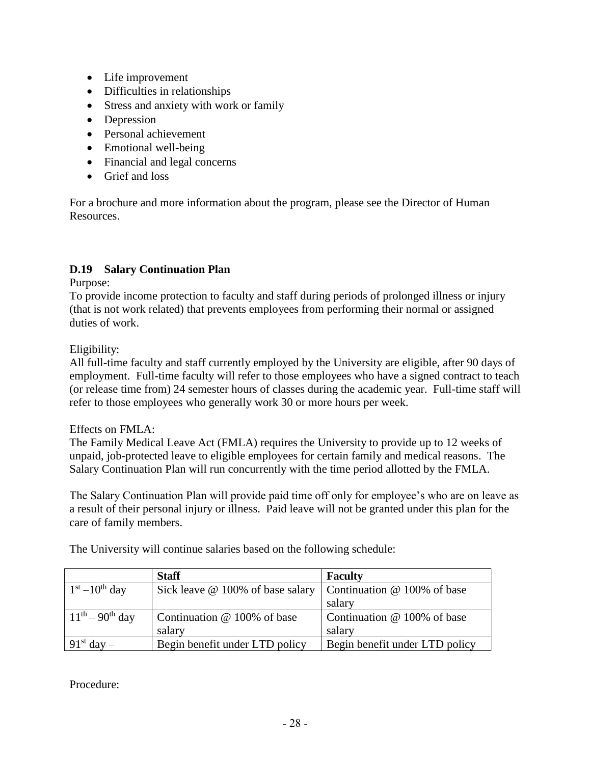- Life improvement
- Difficulties in relationships
- Stress and anxiety with work or family
- Depression
- Personal achievement
- Emotional well-being
- Financial and legal concerns
- Grief and loss

For a brochure and more information about the program, please see the Director of Human Resources.

## **D.19 Salary Continuation Plan**

Purpose:

To provide income protection to faculty and staff during periods of prolonged illness or injury (that is not work related) that prevents employees from performing their normal or assigned duties of work.

Eligibility:

All full-time faculty and staff currently employed by the University are eligible, after 90 days of employment. Full-time faculty will refer to those employees who have a signed contract to teach (or release time from) 24 semester hours of classes during the academic year. Full-time staff will refer to those employees who generally work 30 or more hours per week.

#### Effects on FMLA:

The Family Medical Leave Act (FMLA) requires the University to provide up to 12 weeks of unpaid, job-protected leave to eligible employees for certain family and medical reasons. The Salary Continuation Plan will run concurrently with the time period allotted by the FMLA.

The Salary Continuation Plan will provide paid time off only for employee's who are on leave as a result of their personal injury or illness. Paid leave will not be granted under this plan for the care of family members.

|                         | <b>Staff</b>                                                               | <b>Faculty</b>                 |
|-------------------------|----------------------------------------------------------------------------|--------------------------------|
| $1st - 10th$ day        | Sick leave $\omega$ 100% of base salary Continuation $\omega$ 100% of base |                                |
|                         |                                                                            | salary                         |
| $11^{th} - 90^{th}$ day | Continuation $@$ 100% of base                                              | Continuation @ 100% of base    |
|                         | salary                                                                     | salary                         |
| $91st$ day $-$          | Begin benefit under LTD policy                                             | Begin benefit under LTD policy |

The University will continue salaries based on the following schedule:

Procedure: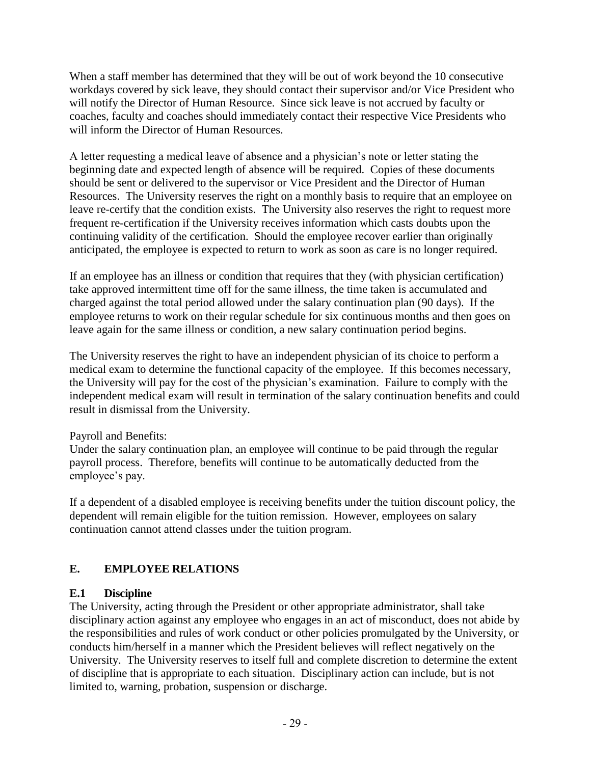When a staff member has determined that they will be out of work beyond the 10 consecutive workdays covered by sick leave, they should contact their supervisor and/or Vice President who will notify the Director of Human Resource. Since sick leave is not accrued by faculty or coaches, faculty and coaches should immediately contact their respective Vice Presidents who will inform the Director of Human Resources.

A letter requesting a medical leave of absence and a physician's note or letter stating the beginning date and expected length of absence will be required. Copies of these documents should be sent or delivered to the supervisor or Vice President and the Director of Human Resources. The University reserves the right on a monthly basis to require that an employee on leave re-certify that the condition exists. The University also reserves the right to request more frequent re-certification if the University receives information which casts doubts upon the continuing validity of the certification. Should the employee recover earlier than originally anticipated, the employee is expected to return to work as soon as care is no longer required.

If an employee has an illness or condition that requires that they (with physician certification) take approved intermittent time off for the same illness, the time taken is accumulated and charged against the total period allowed under the salary continuation plan (90 days). If the employee returns to work on their regular schedule for six continuous months and then goes on leave again for the same illness or condition, a new salary continuation period begins.

The University reserves the right to have an independent physician of its choice to perform a medical exam to determine the functional capacity of the employee. If this becomes necessary, the University will pay for the cost of the physician's examination. Failure to comply with the independent medical exam will result in termination of the salary continuation benefits and could result in dismissal from the University.

#### Payroll and Benefits:

Under the salary continuation plan, an employee will continue to be paid through the regular payroll process. Therefore, benefits will continue to be automatically deducted from the employee's pay.

If a dependent of a disabled employee is receiving benefits under the tuition discount policy, the dependent will remain eligible for the tuition remission. However, employees on salary continuation cannot attend classes under the tuition program.

# **E. EMPLOYEE RELATIONS**

# **E.1 Discipline**

The University, acting through the President or other appropriate administrator, shall take disciplinary action against any employee who engages in an act of misconduct, does not abide by the responsibilities and rules of work conduct or other policies promulgated by the University, or conducts him/herself in a manner which the President believes will reflect negatively on the University. The University reserves to itself full and complete discretion to determine the extent of discipline that is appropriate to each situation. Disciplinary action can include, but is not limited to, warning, probation, suspension or discharge.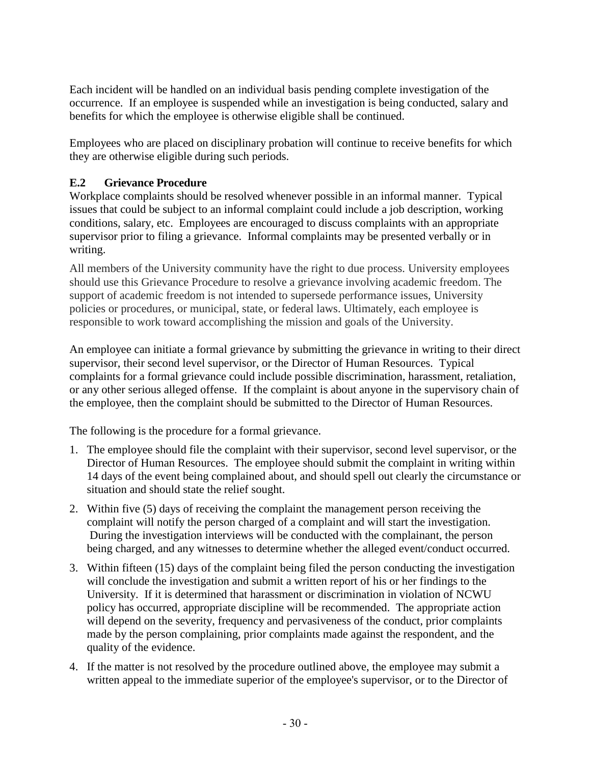Each incident will be handled on an individual basis pending complete investigation of the occurrence. If an employee is suspended while an investigation is being conducted, salary and benefits for which the employee is otherwise eligible shall be continued.

Employees who are placed on disciplinary probation will continue to receive benefits for which they are otherwise eligible during such periods.

# **E.2 Grievance Procedure**

Workplace complaints should be resolved whenever possible in an informal manner. Typical issues that could be subject to an informal complaint could include a job description, working conditions, salary, etc. Employees are encouraged to discuss complaints with an appropriate supervisor prior to filing a grievance. Informal complaints may be presented verbally or in writing.

All members of the University community have the right to due process. University employees should use this Grievance Procedure to resolve a grievance involving academic freedom. The support of academic freedom is not intended to supersede performance issues, University policies or procedures, or municipal, state, or federal laws. Ultimately, each employee is responsible to work toward accomplishing the mission and goals of the University.

An employee can initiate a formal grievance by submitting the grievance in writing to their direct supervisor, their second level supervisor, or the Director of Human Resources. Typical complaints for a formal grievance could include possible discrimination, harassment, retaliation, or any other serious alleged offense. If the complaint is about anyone in the supervisory chain of the employee, then the complaint should be submitted to the Director of Human Resources.

The following is the procedure for a formal grievance.

- 1. The employee should file the complaint with their supervisor, second level supervisor, or the Director of Human Resources. The employee should submit the complaint in writing within 14 days of the event being complained about, and should spell out clearly the circumstance or situation and should state the relief sought.
- 2. Within five (5) days of receiving the complaint the management person receiving the complaint will notify the person charged of a complaint and will start the investigation. During the investigation interviews will be conducted with the complainant, the person being charged, and any witnesses to determine whether the alleged event/conduct occurred.
- 3. Within fifteen (15) days of the complaint being filed the person conducting the investigation will conclude the investigation and submit a written report of his or her findings to the University. If it is determined that harassment or discrimination in violation of NCWU policy has occurred, appropriate discipline will be recommended. The appropriate action will depend on the severity, frequency and pervasiveness of the conduct, prior complaints made by the person complaining, prior complaints made against the respondent, and the quality of the evidence.
- 4. If the matter is not resolved by the procedure outlined above, the employee may submit a written appeal to the immediate superior of the employee's supervisor, or to the Director of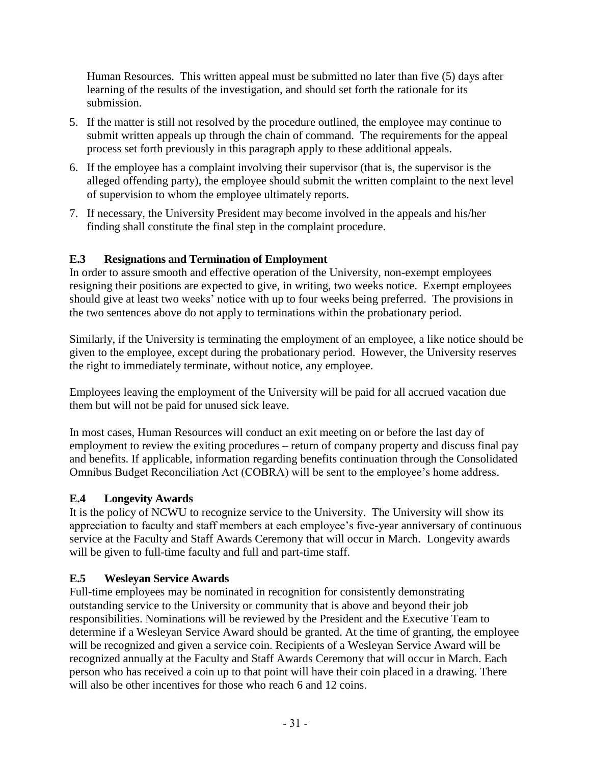Human Resources. This written appeal must be submitted no later than five (5) days after learning of the results of the investigation, and should set forth the rationale for its submission.

- 5. If the matter is still not resolved by the procedure outlined, the employee may continue to submit written appeals up through the chain of command. The requirements for the appeal process set forth previously in this paragraph apply to these additional appeals.
- 6. If the employee has a complaint involving their supervisor (that is, the supervisor is the alleged offending party), the employee should submit the written complaint to the next level of supervision to whom the employee ultimately reports.
- 7. If necessary, the University President may become involved in the appeals and his/her finding shall constitute the final step in the complaint procedure.

# **E.3 Resignations and Termination of Employment**

In order to assure smooth and effective operation of the University, non-exempt employees resigning their positions are expected to give, in writing, two weeks notice. Exempt employees should give at least two weeks' notice with up to four weeks being preferred. The provisions in the two sentences above do not apply to terminations within the probationary period.

Similarly, if the University is terminating the employment of an employee, a like notice should be given to the employee, except during the probationary period. However, the University reserves the right to immediately terminate, without notice, any employee.

Employees leaving the employment of the University will be paid for all accrued vacation due them but will not be paid for unused sick leave.

In most cases, Human Resources will conduct an exit meeting on or before the last day of employment to review the exiting procedures – return of company property and discuss final pay and benefits. If applicable, information regarding benefits continuation through the Consolidated Omnibus Budget Reconciliation Act (COBRA) will be sent to the employee's home address.

# **E.4 Longevity Awards**

It is the policy of NCWU to recognize service to the University. The University will show its appreciation to faculty and staff members at each employee's five-year anniversary of continuous service at the Faculty and Staff Awards Ceremony that will occur in March. Longevity awards will be given to full-time faculty and full and part-time staff.

# **E.5 Wesleyan Service Awards**

Full-time employees may be nominated in recognition for consistently demonstrating outstanding service to the University or community that is above and beyond their job responsibilities. Nominations will be reviewed by the President and the Executive Team to determine if a Wesleyan Service Award should be granted. At the time of granting, the employee will be recognized and given a service coin. Recipients of a Wesleyan Service Award will be recognized annually at the Faculty and Staff Awards Ceremony that will occur in March. Each person who has received a coin up to that point will have their coin placed in a drawing. There will also be other incentives for those who reach 6 and 12 coins.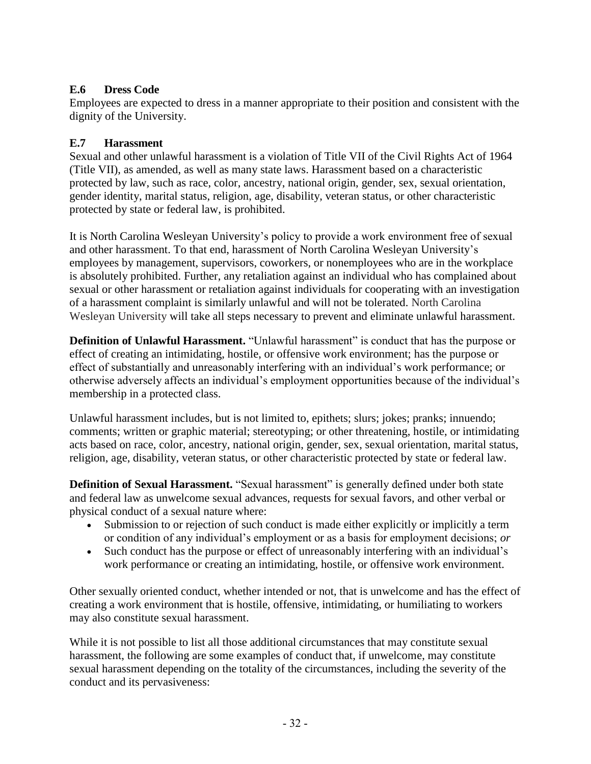# **E.6 Dress Code**

Employees are expected to dress in a manner appropriate to their position and consistent with the dignity of the University.

# **E.7 Harassment**

Sexual and other unlawful harassment is a violation of Title VII of the Civil Rights Act of 1964 (Title VII), as amended, as well as many state laws. Harassment based on a characteristic protected by law, such as race, color, ancestry, national origin, gender, sex, sexual orientation, gender identity, marital status, religion, age, disability, veteran status, or other characteristic protected by state or federal law, is prohibited.

It is North Carolina Wesleyan University's policy to provide a work environment free of sexual and other harassment. To that end, harassment of North Carolina Wesleyan University's employees by management, supervisors, coworkers, or nonemployees who are in the workplace is absolutely prohibited. Further, any retaliation against an individual who has complained about sexual or other harassment or retaliation against individuals for cooperating with an investigation of a harassment complaint is similarly unlawful and will not be tolerated. North Carolina Wesleyan University will take all steps necessary to prevent and eliminate unlawful harassment.

**Definition of Unlawful Harassment.** "Unlawful harassment" is conduct that has the purpose or effect of creating an intimidating, hostile, or offensive work environment; has the purpose or effect of substantially and unreasonably interfering with an individual's work performance; or otherwise adversely affects an individual's employment opportunities because of the individual's membership in a protected class.

Unlawful harassment includes, but is not limited to, epithets; slurs; jokes; pranks; innuendo; comments; written or graphic material; stereotyping; or other threatening, hostile, or intimidating acts based on race, color, ancestry, national origin, gender, sex, sexual orientation, marital status, religion, age, disability, veteran status, or other characteristic protected by state or federal law.

**Definition of Sexual Harassment.** "Sexual harassment" is generally defined under both state and federal law as unwelcome sexual advances, requests for sexual favors, and other verbal or physical conduct of a sexual nature where:

- Submission to or rejection of such conduct is made either explicitly or implicitly a term or condition of any individual's employment or as a basis for employment decisions; *or*
- Such conduct has the purpose or effect of unreasonably interfering with an individual's work performance or creating an intimidating, hostile, or offensive work environment.

Other sexually oriented conduct, whether intended or not, that is unwelcome and has the effect of creating a work environment that is hostile, offensive, intimidating, or humiliating to workers may also constitute sexual harassment.

While it is not possible to list all those additional circumstances that may constitute sexual harassment, the following are some examples of conduct that, if unwelcome, may constitute sexual harassment depending on the totality of the circumstances, including the severity of the conduct and its pervasiveness: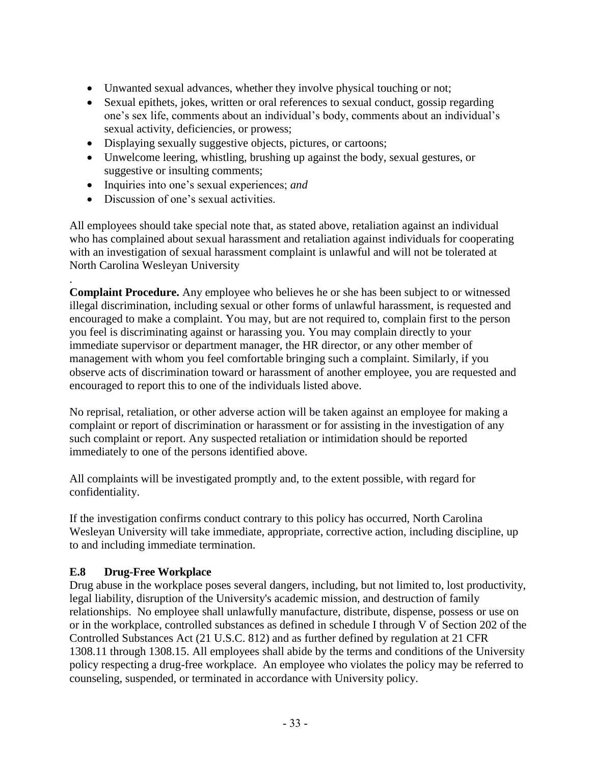- Unwanted sexual advances, whether they involve physical touching or not;
- Sexual epithets, jokes, written or oral references to sexual conduct, gossip regarding one's sex life, comments about an individual's body, comments about an individual's sexual activity, deficiencies, or prowess;
- Displaying sexually suggestive objects, pictures, or cartoons;
- Unwelcome leering, whistling, brushing up against the body, sexual gestures, or suggestive or insulting comments;
- Inquiries into one's sexual experiences; *and*
- Discussion of one's sexual activities.

.

All employees should take special note that, as stated above, retaliation against an individual who has complained about sexual harassment and retaliation against individuals for cooperating with an investigation of sexual harassment complaint is unlawful and will not be tolerated at North Carolina Wesleyan University

**Complaint Procedure.** Any employee who believes he or she has been subject to or witnessed illegal discrimination, including sexual or other forms of unlawful harassment, is requested and encouraged to make a complaint. You may, but are not required to, complain first to the person you feel is discriminating against or harassing you. You may complain directly to your immediate supervisor or department manager, the HR director, or any other member of management with whom you feel comfortable bringing such a complaint. Similarly, if you observe acts of discrimination toward or harassment of another employee, you are requested and encouraged to report this to one of the individuals listed above.

No reprisal, retaliation, or other adverse action will be taken against an employee for making a complaint or report of discrimination or harassment or for assisting in the investigation of any such complaint or report. Any suspected retaliation or intimidation should be reported immediately to one of the persons identified above.

All complaints will be investigated promptly and, to the extent possible, with regard for confidentiality.

If the investigation confirms conduct contrary to this policy has occurred, North Carolina Wesleyan University will take immediate, appropriate, corrective action, including discipline, up to and including immediate termination.

#### **E.8 Drug-Free Workplace**

Drug abuse in the workplace poses several dangers, including, but not limited to, lost productivity, legal liability, disruption of the University's academic mission, and destruction of family relationships. No employee shall unlawfully manufacture, distribute, dispense, possess or use on or in the workplace, controlled substances as defined in schedule I through V of Section 202 of the Controlled Substances Act (21 U.S.C. 812) and as further defined by regulation at 21 CFR 1308.11 through 1308.15. All employees shall abide by the terms and conditions of the University policy respecting a drug-free workplace. An employee who violates the policy may be referred to counseling, suspended, or terminated in accordance with University policy.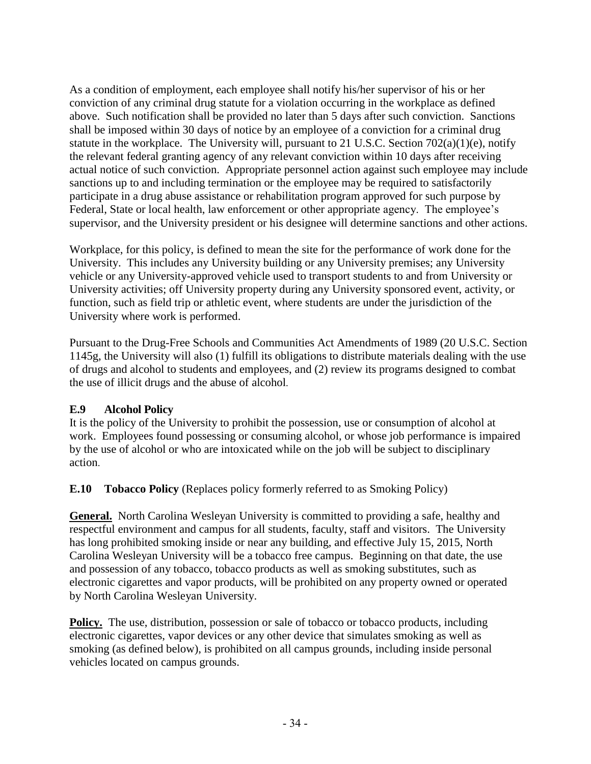As a condition of employment, each employee shall notify his/her supervisor of his or her conviction of any criminal drug statute for a violation occurring in the workplace as defined above. Such notification shall be provided no later than 5 days after such conviction. Sanctions shall be imposed within 30 days of notice by an employee of a conviction for a criminal drug statute in the workplace. The University will, pursuant to 21 U.S.C. Section 702(a)(1)(e), notify the relevant federal granting agency of any relevant conviction within 10 days after receiving actual notice of such conviction. Appropriate personnel action against such employee may include sanctions up to and including termination or the employee may be required to satisfactorily participate in a drug abuse assistance or rehabilitation program approved for such purpose by Federal, State or local health, law enforcement or other appropriate agency. The employee's supervisor, and the University president or his designee will determine sanctions and other actions.

Workplace, for this policy, is defined to mean the site for the performance of work done for the University. This includes any University building or any University premises; any University vehicle or any University-approved vehicle used to transport students to and from University or University activities; off University property during any University sponsored event, activity, or function, such as field trip or athletic event, where students are under the jurisdiction of the University where work is performed.

Pursuant to the Drug-Free Schools and Communities Act Amendments of 1989 (20 U.S.C. Section 1145g, the University will also (1) fulfill its obligations to distribute materials dealing with the use of drugs and alcohol to students and employees, and (2) review its programs designed to combat the use of illicit drugs and the abuse of alcohol.

# **E.9 Alcohol Policy**

It is the policy of the University to prohibit the possession, use or consumption of alcohol at work. Employees found possessing or consuming alcohol, or whose job performance is impaired by the use of alcohol or who are intoxicated while on the job will be subject to disciplinary action.

**E.10 Tobacco Policy** (Replaces policy formerly referred to as Smoking Policy)

**General.** North Carolina Wesleyan University is committed to providing a safe, healthy and respectful environment and campus for all students, faculty, staff and visitors. The University has long prohibited smoking inside or near any building, and effective July 15, 2015, North Carolina Wesleyan University will be a tobacco free campus. Beginning on that date, the use and possession of any tobacco, tobacco products as well as smoking substitutes, such as electronic cigarettes and vapor products, will be prohibited on any property owned or operated by North Carolina Wesleyan University.

**Policy.** The use, distribution, possession or sale of tobacco or tobacco products, including electronic cigarettes, vapor devices or any other device that simulates smoking as well as smoking (as defined below), is prohibited on all campus grounds, including inside personal vehicles located on campus grounds.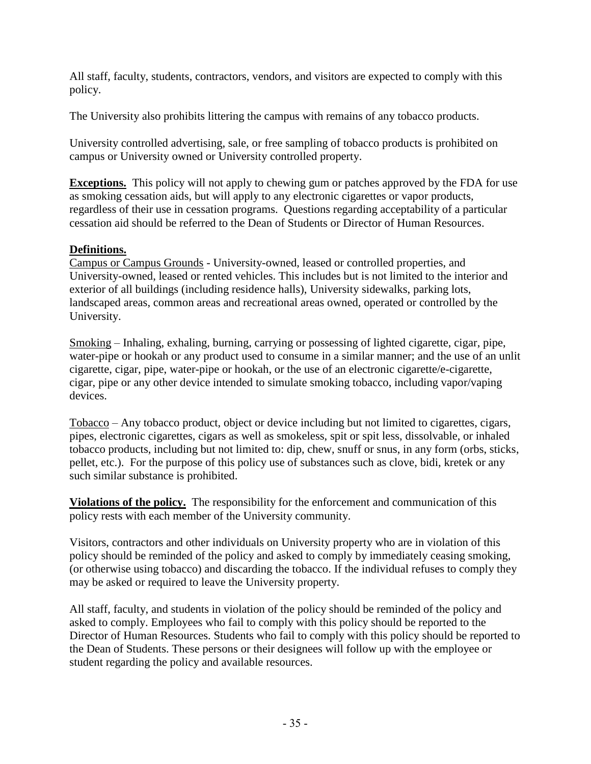All staff, faculty, students, contractors, vendors, and visitors are expected to comply with this policy.

The University also prohibits littering the campus with remains of any tobacco products.

University controlled advertising, sale, or free sampling of tobacco products is prohibited on campus or University owned or University controlled property.

**Exceptions.** This policy will not apply to chewing gum or patches approved by the FDA for use as smoking cessation aids, but will apply to any electronic cigarettes or vapor products, regardless of their use in cessation programs. Questions regarding acceptability of a particular cessation aid should be referred to the Dean of Students or Director of Human Resources.

# **Definitions.**

Campus or Campus Grounds - University-owned, leased or controlled properties, and University-owned, leased or rented vehicles. This includes but is not limited to the interior and exterior of all buildings (including residence halls), University sidewalks, parking lots, landscaped areas, common areas and recreational areas owned, operated or controlled by the University.

Smoking – Inhaling, exhaling, burning, carrying or possessing of lighted cigarette, cigar, pipe, water-pipe or hookah or any product used to consume in a similar manner; and the use of an unlit cigarette, cigar, pipe, water-pipe or hookah, or the use of an electronic cigarette/e-cigarette, cigar, pipe or any other device intended to simulate smoking tobacco, including vapor/vaping devices.

Tobacco – Any tobacco product, object or device including but not limited to cigarettes, cigars, pipes, electronic cigarettes, cigars as well as smokeless, spit or spit less, dissolvable, or inhaled tobacco products, including but not limited to: dip, chew, snuff or snus, in any form (orbs, sticks, pellet, etc.). For the purpose of this policy use of substances such as clove, bidi, kretek or any such similar substance is prohibited.

**Violations of the policy.** The responsibility for the enforcement and communication of this policy rests with each member of the University community.

Visitors, contractors and other individuals on University property who are in violation of this policy should be reminded of the policy and asked to comply by immediately ceasing smoking, (or otherwise using tobacco) and discarding the tobacco. If the individual refuses to comply they may be asked or required to leave the University property.

All staff, faculty, and students in violation of the policy should be reminded of the policy and asked to comply. Employees who fail to comply with this policy should be reported to the Director of Human Resources. Students who fail to comply with this policy should be reported to the Dean of Students. These persons or their designees will follow up with the employee or student regarding the policy and available resources.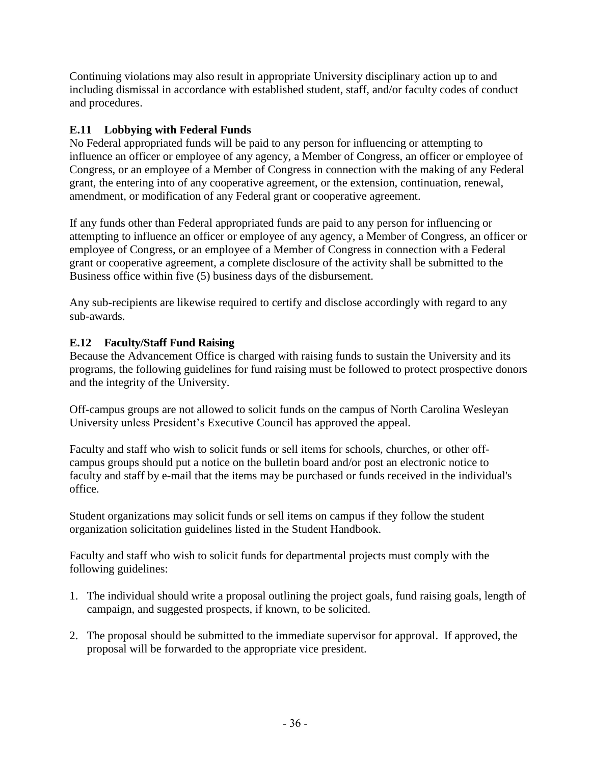Continuing violations may also result in appropriate University disciplinary action up to and including dismissal in accordance with established student, staff, and/or faculty codes of conduct and procedures.

# **E.11 Lobbying with Federal Funds**

No Federal appropriated funds will be paid to any person for influencing or attempting to influence an officer or employee of any agency, a Member of Congress, an officer or employee of Congress, or an employee of a Member of Congress in connection with the making of any Federal grant, the entering into of any cooperative agreement, or the extension, continuation, renewal, amendment, or modification of any Federal grant or cooperative agreement.

If any funds other than Federal appropriated funds are paid to any person for influencing or attempting to influence an officer or employee of any agency, a Member of Congress, an officer or employee of Congress, or an employee of a Member of Congress in connection with a Federal grant or cooperative agreement, a complete disclosure of the activity shall be submitted to the Business office within five (5) business days of the disbursement.

Any sub-recipients are likewise required to certify and disclose accordingly with regard to any sub-awards.

# **E.12 Faculty/Staff Fund Raising**

Because the Advancement Office is charged with raising funds to sustain the University and its programs, the following guidelines for fund raising must be followed to protect prospective donors and the integrity of the University.

Off-campus groups are not allowed to solicit funds on the campus of North Carolina Wesleyan University unless President's Executive Council has approved the appeal.

Faculty and staff who wish to solicit funds or sell items for schools, churches, or other offcampus groups should put a notice on the bulletin board and/or post an electronic notice to faculty and staff by e-mail that the items may be purchased or funds received in the individual's office.

Student organizations may solicit funds or sell items on campus if they follow the student organization solicitation guidelines listed in the Student Handbook.

Faculty and staff who wish to solicit funds for departmental projects must comply with the following guidelines:

- 1. The individual should write a proposal outlining the project goals, fund raising goals, length of campaign, and suggested prospects, if known, to be solicited.
- 2. The proposal should be submitted to the immediate supervisor for approval. If approved, the proposal will be forwarded to the appropriate vice president.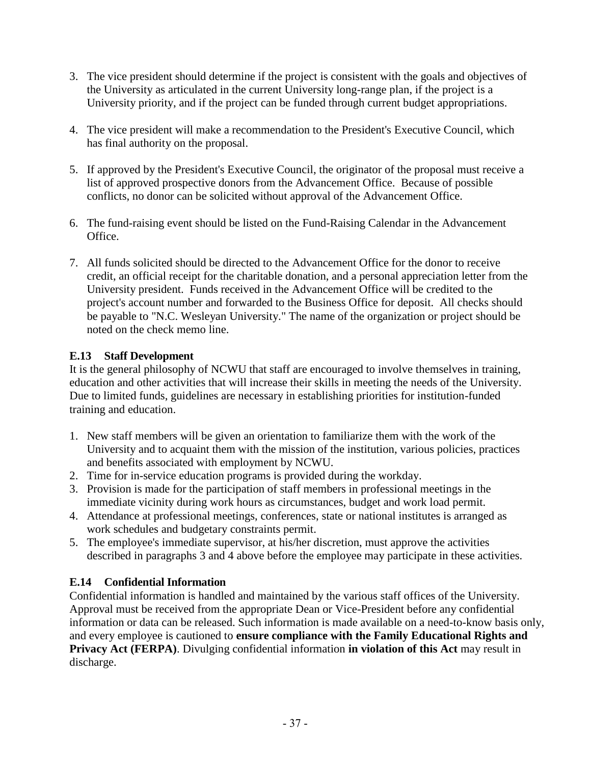- 3. The vice president should determine if the project is consistent with the goals and objectives of the University as articulated in the current University long-range plan, if the project is a University priority, and if the project can be funded through current budget appropriations.
- 4. The vice president will make a recommendation to the President's Executive Council, which has final authority on the proposal.
- 5. If approved by the President's Executive Council, the originator of the proposal must receive a list of approved prospective donors from the Advancement Office. Because of possible conflicts, no donor can be solicited without approval of the Advancement Office.
- 6. The fund-raising event should be listed on the Fund-Raising Calendar in the Advancement Office.
- 7. All funds solicited should be directed to the Advancement Office for the donor to receive credit, an official receipt for the charitable donation, and a personal appreciation letter from the University president. Funds received in the Advancement Office will be credited to the project's account number and forwarded to the Business Office for deposit. All checks should be payable to "N.C. Wesleyan University." The name of the organization or project should be noted on the check memo line.

# **E.13 Staff Development**

It is the general philosophy of NCWU that staff are encouraged to involve themselves in training, education and other activities that will increase their skills in meeting the needs of the University. Due to limited funds, guidelines are necessary in establishing priorities for institution-funded training and education.

- 1. New staff members will be given an orientation to familiarize them with the work of the University and to acquaint them with the mission of the institution, various policies, practices and benefits associated with employment by NCWU.
- 2. Time for in-service education programs is provided during the workday.
- 3. Provision is made for the participation of staff members in professional meetings in the immediate vicinity during work hours as circumstances, budget and work load permit.
- 4. Attendance at professional meetings, conferences, state or national institutes is arranged as work schedules and budgetary constraints permit.
- 5. The employee's immediate supervisor, at his/her discretion, must approve the activities described in paragraphs 3 and 4 above before the employee may participate in these activities.

# **E.14 Confidential Information**

Confidential information is handled and maintained by the various staff offices of the University. Approval must be received from the appropriate Dean or Vice-President before any confidential information or data can be released. Such information is made available on a need-to-know basis only, and every employee is cautioned to **ensure compliance with the Family Educational Rights and Privacy Act (FERPA)**. Divulging confidential information **in violation of this Act** may result in discharge.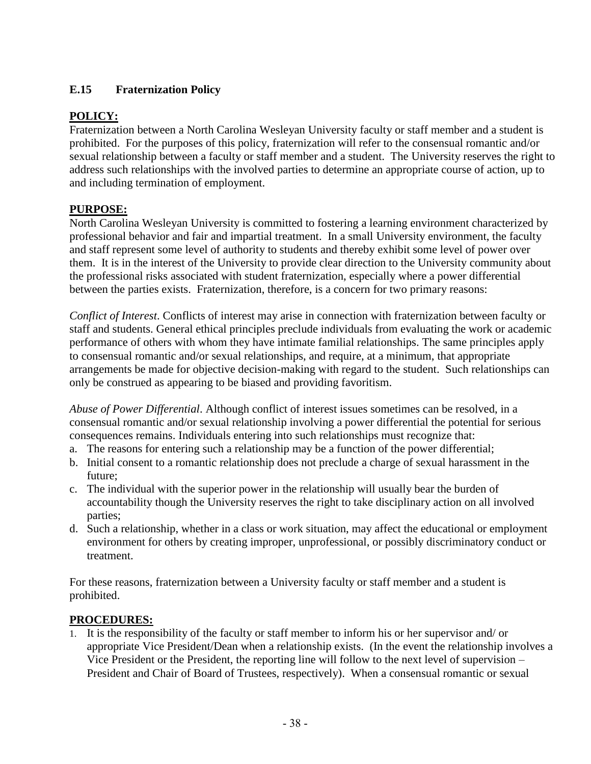# **E.15 Fraternization Policy**

# **POLICY:**

Fraternization between a North Carolina Wesleyan University faculty or staff member and a student is prohibited. For the purposes of this policy, fraternization will refer to the consensual romantic and/or sexual relationship between a faculty or staff member and a student. The University reserves the right to address such relationships with the involved parties to determine an appropriate course of action, up to and including termination of employment.

# **PURPOSE:**

North Carolina Wesleyan University is committed to fostering a learning environment characterized by professional behavior and fair and impartial treatment. In a small University environment, the faculty and staff represent some level of authority to students and thereby exhibit some level of power over them. It is in the interest of the University to provide clear direction to the University community about the professional risks associated with student fraternization, especially where a power differential between the parties exists. Fraternization, therefore, is a concern for two primary reasons:

*Conflict of Interest*. Conflicts of interest may arise in connection with fraternization between faculty or staff and students. General ethical principles preclude individuals from evaluating the work or academic performance of others with whom they have intimate familial relationships. The same principles apply to consensual romantic and/or sexual relationships, and require, at a minimum, that appropriate arrangements be made for objective decision-making with regard to the student. Such relationships can only be construed as appearing to be biased and providing favoritism.

*Abuse of Power Differential*. Although conflict of interest issues sometimes can be resolved, in a consensual romantic and/or sexual relationship involving a power differential the potential for serious consequences remains. Individuals entering into such relationships must recognize that:

- a. The reasons for entering such a relationship may be a function of the power differential;
- b. Initial consent to a romantic relationship does not preclude a charge of sexual harassment in the future;
- c. The individual with the superior power in the relationship will usually bear the burden of accountability though the University reserves the right to take disciplinary action on all involved parties;
- d. Such a relationship, whether in a class or work situation, may affect the educational or employment environment for others by creating improper, unprofessional, or possibly discriminatory conduct or treatment.

For these reasons, fraternization between a University faculty or staff member and a student is prohibited.

#### **PROCEDURES:**

1. It is the responsibility of the faculty or staff member to inform his or her supervisor and/ or appropriate Vice President/Dean when a relationship exists. (In the event the relationship involves a Vice President or the President, the reporting line will follow to the next level of supervision – President and Chair of Board of Trustees, respectively). When a consensual romantic or sexual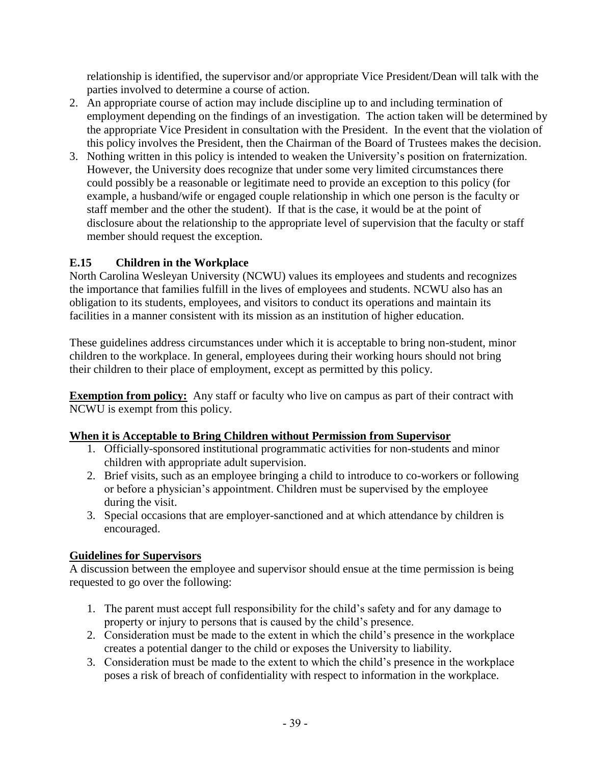relationship is identified, the supervisor and/or appropriate Vice President/Dean will talk with the parties involved to determine a course of action.

- 2. An appropriate course of action may include discipline up to and including termination of employment depending on the findings of an investigation. The action taken will be determined by the appropriate Vice President in consultation with the President. In the event that the violation of this policy involves the President, then the Chairman of the Board of Trustees makes the decision.
- 3. Nothing written in this policy is intended to weaken the University's position on fraternization. However, the University does recognize that under some very limited circumstances there could possibly be a reasonable or legitimate need to provide an exception to this policy (for example, a husband/wife or engaged couple relationship in which one person is the faculty or staff member and the other the student). If that is the case, it would be at the point of disclosure about the relationship to the appropriate level of supervision that the faculty or staff member should request the exception.

## **E.15 Children in the Workplace**

North Carolina Wesleyan University (NCWU) values its employees and students and recognizes the importance that families fulfill in the lives of employees and students. NCWU also has an obligation to its students, employees, and visitors to conduct its operations and maintain its facilities in a manner consistent with its mission as an institution of higher education.

These guidelines address circumstances under which it is acceptable to bring non-student, minor children to the workplace. In general, employees during their working hours should not bring their children to their place of employment, except as permitted by this policy.

**Exemption from policy:** Any staff or faculty who live on campus as part of their contract with NCWU is exempt from this policy.

#### **When it is Acceptable to Bring Children without Permission from Supervisor**

- 1. Officially-sponsored institutional programmatic activities for non-students and minor children with appropriate adult supervision.
- 2. Brief visits, such as an employee bringing a child to introduce to co-workers or following or before a physician's appointment. Children must be supervised by the employee during the visit.
- 3. Special occasions that are employer-sanctioned and at which attendance by children is encouraged.

#### **Guidelines for Supervisors**

A discussion between the employee and supervisor should ensue at the time permission is being requested to go over the following:

- 1. The parent must accept full responsibility for the child's safety and for any damage to property or injury to persons that is caused by the child's presence.
- 2. Consideration must be made to the extent in which the child's presence in the workplace creates a potential danger to the child or exposes the University to liability.
- 3. Consideration must be made to the extent to which the child's presence in the workplace poses a risk of breach of confidentiality with respect to information in the workplace.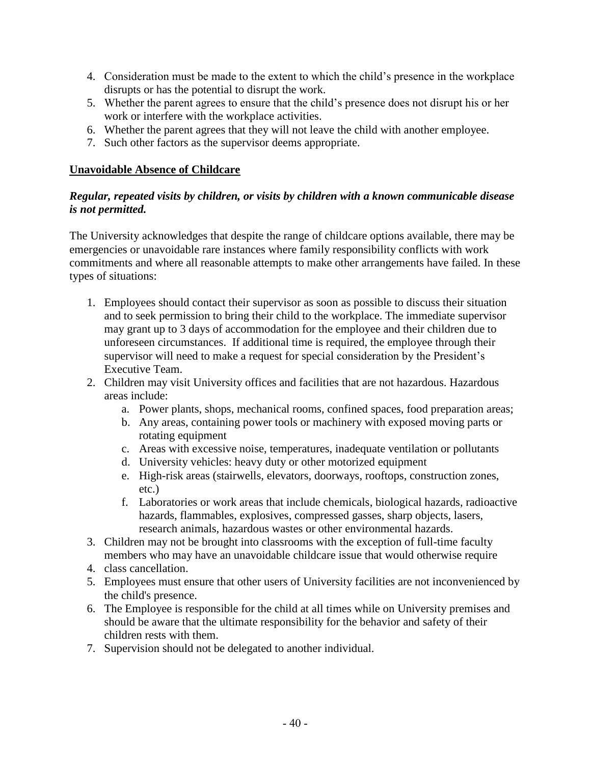- 4. Consideration must be made to the extent to which the child's presence in the workplace disrupts or has the potential to disrupt the work.
- 5. Whether the parent agrees to ensure that the child's presence does not disrupt his or her work or interfere with the workplace activities.
- 6. Whether the parent agrees that they will not leave the child with another employee.
- 7. Such other factors as the supervisor deems appropriate.

#### **Unavoidable Absence of Childcare**

#### *Regular, repeated visits by children, or visits by children with a known communicable disease is not permitted.*

The University acknowledges that despite the range of childcare options available, there may be emergencies or unavoidable rare instances where family responsibility conflicts with work commitments and where all reasonable attempts to make other arrangements have failed. In these types of situations:

- 1. Employees should contact their supervisor as soon as possible to discuss their situation and to seek permission to bring their child to the workplace. The immediate supervisor may grant up to 3 days of accommodation for the employee and their children due to unforeseen circumstances. If additional time is required, the employee through their supervisor will need to make a request for special consideration by the President's Executive Team.
- 2. Children may visit University offices and facilities that are not hazardous. Hazardous areas include:
	- a. Power plants, shops, mechanical rooms, confined spaces, food preparation areas;
	- b. Any areas, containing power tools or machinery with exposed moving parts or rotating equipment
	- c. Areas with excessive noise, temperatures, inadequate ventilation or pollutants
	- d. University vehicles: heavy duty or other motorized equipment
	- e. High-risk areas (stairwells, elevators, doorways, rooftops, construction zones, etc.)
	- f. Laboratories or work areas that include chemicals, biological hazards, radioactive hazards, flammables, explosives, compressed gasses, sharp objects, lasers, research animals, hazardous wastes or other environmental hazards.
- 3. Children may not be brought into classrooms with the exception of full-time faculty members who may have an unavoidable childcare issue that would otherwise require
- 4. class cancellation.
- 5. Employees must ensure that other users of University facilities are not inconvenienced by the child's presence.
- 6. The Employee is responsible for the child at all times while on University premises and should be aware that the ultimate responsibility for the behavior and safety of their children rests with them.
- 7. Supervision should not be delegated to another individual.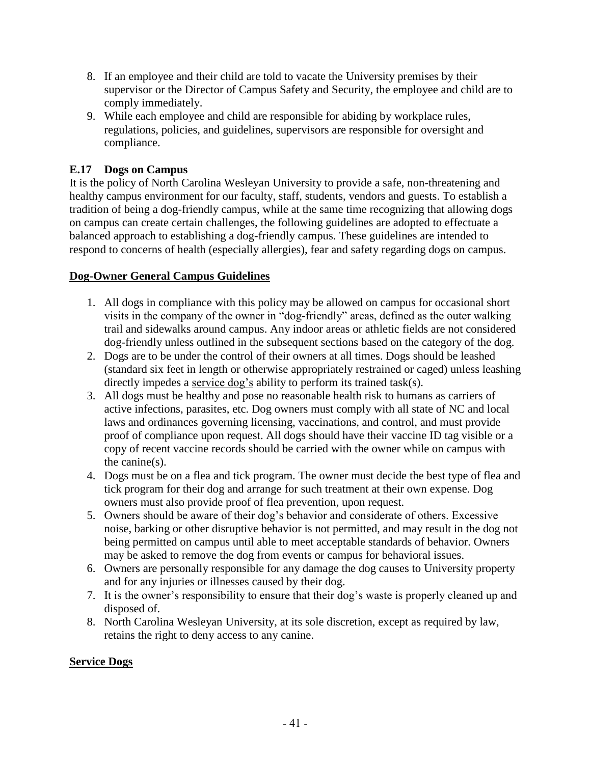- 8. If an employee and their child are told to vacate the University premises by their supervisor or the Director of Campus Safety and Security, the employee and child are to comply immediately.
- 9. While each employee and child are responsible for abiding by workplace rules, regulations, policies, and guidelines, supervisors are responsible for oversight and compliance.

# **E.17 Dogs on Campus**

It is the policy of North Carolina Wesleyan University to provide a safe, non-threatening and healthy campus environment for our faculty, staff, students, vendors and guests. To establish a tradition of being a dog-friendly campus, while at the same time recognizing that allowing dogs on campus can create certain challenges, the following guidelines are adopted to effectuate a balanced approach to establishing a dog-friendly campus. These guidelines are intended to respond to concerns of health (especially allergies), fear and safety regarding dogs on campus.

# **Dog-Owner General Campus Guidelines**

- 1. All dogs in compliance with this policy may be allowed on campus for occasional short visits in the company of the owner in "dog-friendly" areas, defined as the outer walking trail and sidewalks around campus. Any indoor areas or athletic fields are not considered dog-friendly unless outlined in the subsequent sections based on the category of the dog.
- 2. Dogs are to be under the control of their owners at all times. Dogs should be leashed (standard six feet in length or otherwise appropriately restrained or caged) unless leashing directly impedes a service dog's ability to perform its trained task(s).
- 3. All dogs must be healthy and pose no reasonable health risk to humans as carriers of active infections, parasites, etc. Dog owners must comply with all state of NC and local laws and ordinances governing licensing, vaccinations, and control, and must provide proof of compliance upon request. All dogs should have their vaccine ID tag visible or a copy of recent vaccine records should be carried with the owner while on campus with the canine(s).
- 4. Dogs must be on a flea and tick program. The owner must decide the best type of flea and tick program for their dog and arrange for such treatment at their own expense. Dog owners must also provide proof of flea prevention, upon request.
- 5. Owners should be aware of their dog's behavior and considerate of others. Excessive noise, barking or other disruptive behavior is not permitted, and may result in the dog not being permitted on campus until able to meet acceptable standards of behavior. Owners may be asked to remove the dog from events or campus for behavioral issues.
- 6. Owners are personally responsible for any damage the dog causes to University property and for any injuries or illnesses caused by their dog.
- 7. It is the owner's responsibility to ensure that their dog's waste is properly cleaned up and disposed of.
- 8. North Carolina Wesleyan University, at its sole discretion, except as required by law, retains the right to deny access to any canine.

#### **Service Dogs**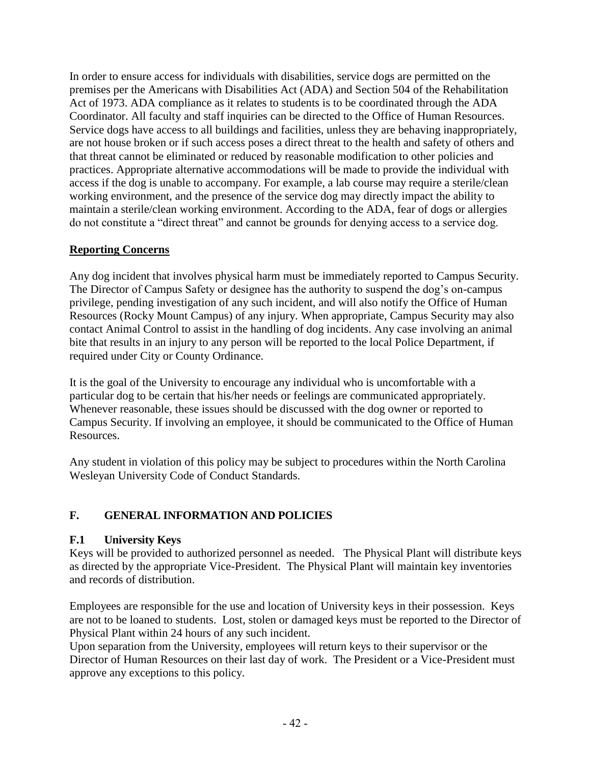In order to ensure access for individuals with disabilities, service dogs are permitted on the premises per the Americans with Disabilities Act (ADA) and Section 504 of the Rehabilitation Act of 1973. ADA compliance as it relates to students is to be coordinated through the ADA Coordinator. All faculty and staff inquiries can be directed to the Office of Human Resources. Service dogs have access to all buildings and facilities, unless they are behaving inappropriately, are not house broken or if such access poses a direct threat to the health and safety of others and that threat cannot be eliminated or reduced by reasonable modification to other policies and practices. Appropriate alternative accommodations will be made to provide the individual with access if the dog is unable to accompany. For example, a lab course may require a sterile/clean working environment, and the presence of the service dog may directly impact the ability to maintain a sterile/clean working environment. According to the ADA, fear of dogs or allergies do not constitute a "direct threat" and cannot be grounds for denying access to a service dog.

# **Reporting Concerns**

Any dog incident that involves physical harm must be immediately reported to Campus Security. The Director of Campus Safety or designee has the authority to suspend the dog's on-campus privilege, pending investigation of any such incident, and will also notify the Office of Human Resources (Rocky Mount Campus) of any injury. When appropriate, Campus Security may also contact Animal Control to assist in the handling of dog incidents. Any case involving an animal bite that results in an injury to any person will be reported to the local Police Department, if required under City or County Ordinance.

It is the goal of the University to encourage any individual who is uncomfortable with a particular dog to be certain that his/her needs or feelings are communicated appropriately. Whenever reasonable, these issues should be discussed with the dog owner or reported to Campus Security. If involving an employee, it should be communicated to the Office of Human Resources.

Any student in violation of this policy may be subject to procedures within the North Carolina Wesleyan University Code of Conduct Standards.

# **F. GENERAL INFORMATION AND POLICIES**

# **F.1 University Keys**

Keys will be provided to authorized personnel as needed. The Physical Plant will distribute keys as directed by the appropriate Vice-President. The Physical Plant will maintain key inventories and records of distribution.

Employees are responsible for the use and location of University keys in their possession. Keys are not to be loaned to students. Lost, stolen or damaged keys must be reported to the Director of Physical Plant within 24 hours of any such incident.

Upon separation from the University, employees will return keys to their supervisor or the Director of Human Resources on their last day of work. The President or a Vice-President must approve any exceptions to this policy.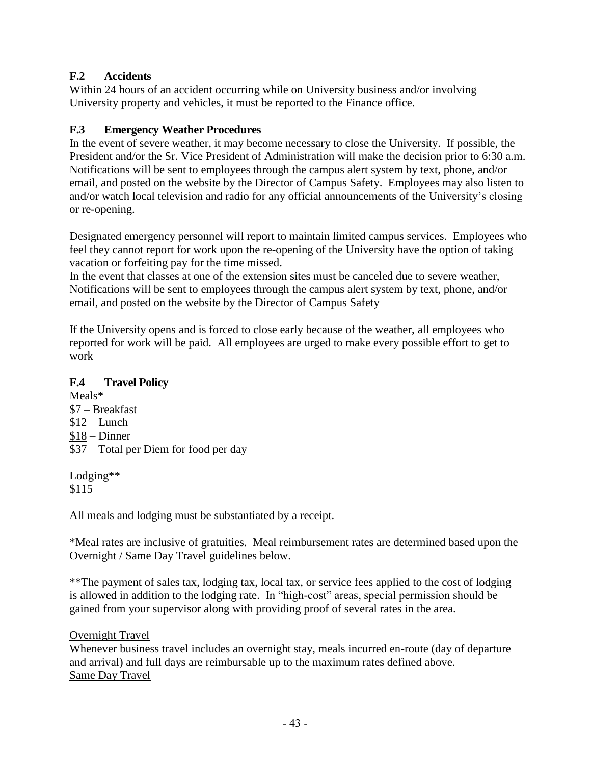# **F.2 Accidents**

Within 24 hours of an accident occurring while on University business and/or involving University property and vehicles, it must be reported to the Finance office.

## **F.3 Emergency Weather Procedures**

In the event of severe weather, it may become necessary to close the University. If possible, the President and/or the Sr. Vice President of Administration will make the decision prior to 6:30 a.m. Notifications will be sent to employees through the campus alert system by text, phone, and/or email, and posted on the website by the Director of Campus Safety. Employees may also listen to and/or watch local television and radio for any official announcements of the University's closing or re-opening.

Designated emergency personnel will report to maintain limited campus services. Employees who feel they cannot report for work upon the re-opening of the University have the option of taking vacation or forfeiting pay for the time missed.

In the event that classes at one of the extension sites must be canceled due to severe weather, Notifications will be sent to employees through the campus alert system by text, phone, and/or email, and posted on the website by the Director of Campus Safety

If the University opens and is forced to close early because of the weather, all employees who reported for work will be paid. All employees are urged to make every possible effort to get to work

#### **F.4 Travel Policy**

Meals\* \$7 – Breakfast  $$12$  – Lunch \$18 – Dinner \$37 – Total per Diem for food per day

Lodging\*\* \$115

All meals and lodging must be substantiated by a receipt.

\*Meal rates are inclusive of gratuities. Meal reimbursement rates are determined based upon the Overnight / Same Day Travel guidelines below.

\*\*The payment of sales tax, lodging tax, local tax, or service fees applied to the cost of lodging is allowed in addition to the lodging rate. In "high-cost" areas, special permission should be gained from your supervisor along with providing proof of several rates in the area.

#### Overnight Travel

Whenever business travel includes an overnight stay, meals incurred en-route (day of departure and arrival) and full days are reimbursable up to the maximum rates defined above. Same Day Travel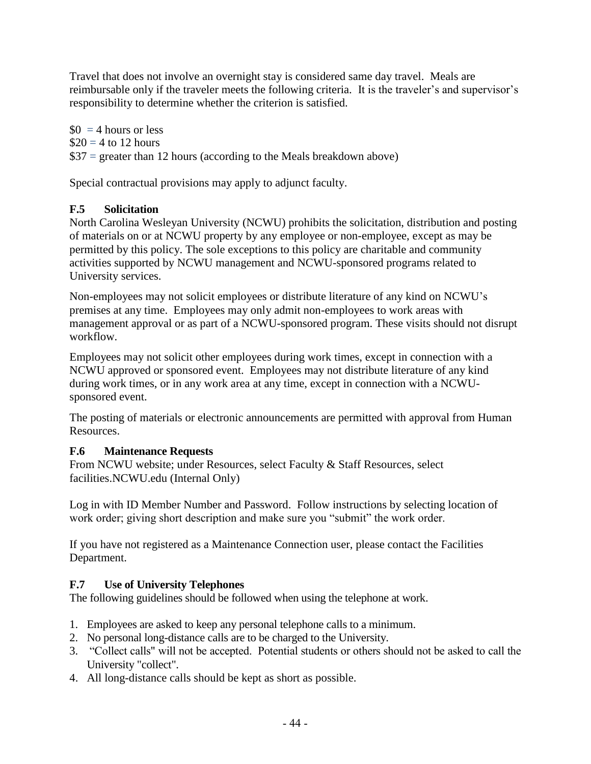Travel that does not involve an overnight stay is considered same day travel. Meals are reimbursable only if the traveler meets the following criteria. It is the traveler's and supervisor's responsibility to determine whether the criterion is satisfied.

 $$0 = 4$  hours or less  $\$20 = 4$  to 12 hours  $$37$  = greater than 12 hours (according to the Meals breakdown above)

Special contractual provisions may apply to adjunct faculty.

# **F.5 Solicitation**

North Carolina Wesleyan University (NCWU) prohibits the solicitation, distribution and posting of materials on or at NCWU property by any employee or non-employee, except as may be permitted by this policy. The sole exceptions to this policy are charitable and community activities supported by NCWU management and NCWU-sponsored programs related to University services.

Non-employees may not solicit employees or distribute literature of any kind on NCWU's premises at any time. Employees may only admit non-employees to work areas with management approval or as part of a NCWU-sponsored program. These visits should not disrupt workflow.

Employees may not solicit other employees during work times, except in connection with a NCWU approved or sponsored event. Employees may not distribute literature of any kind during work times, or in any work area at any time, except in connection with a NCWUsponsored event.

The posting of materials or electronic announcements are permitted with approval from Human Resources.

# **F.6 Maintenance Requests**

From NCWU website; under Resources, select Faculty & Staff Resources, select facilities.NCWU.edu (Internal Only)

Log in with ID Member Number and Password. Follow instructions by selecting location of work order; giving short description and make sure you "submit" the work order.

If you have not registered as a Maintenance Connection user, please contact the Facilities Department.

# **F.7 Use of University Telephones**

The following guidelines should be followed when using the telephone at work.

- 1. Employees are asked to keep any personal telephone calls to a minimum.
- 2. No personal long-distance calls are to be charged to the University.
- 3. "Collect calls" will not be accepted. Potential students or others should not be asked to call the University "collect".
- 4. All long-distance calls should be kept as short as possible.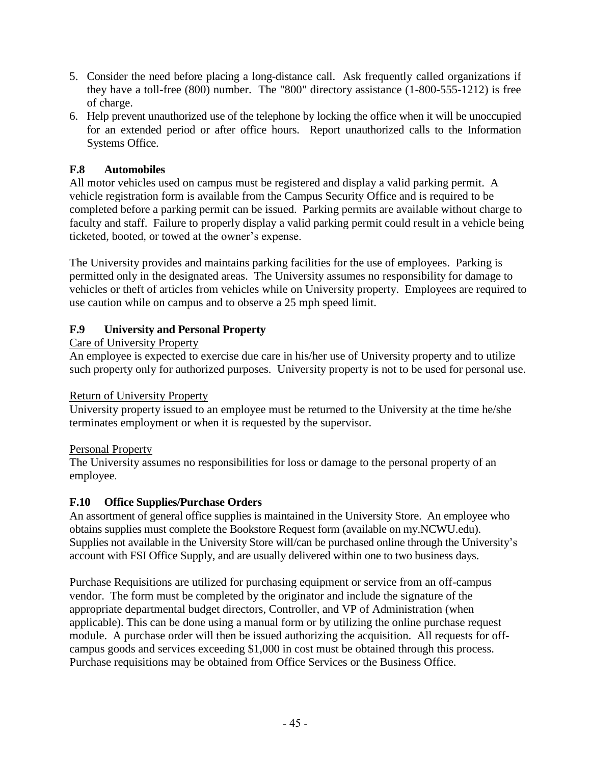- 5. Consider the need before placing a long-distance call. Ask frequently called organizations if they have a toll-free (800) number. The "800" directory assistance (1-800-555-1212) is free of charge.
- 6. Help prevent unauthorized use of the telephone by locking the office when it will be unoccupied for an extended period or after office hours. Report unauthorized calls to the Information Systems Office.

# **F.8 Automobiles**

All motor vehicles used on campus must be registered and display a valid parking permit. A vehicle registration form is available from the Campus Security Office and is required to be completed before a parking permit can be issued. Parking permits are available without charge to faculty and staff. Failure to properly display a valid parking permit could result in a vehicle being ticketed, booted, or towed at the owner's expense.

The University provides and maintains parking facilities for the use of employees. Parking is permitted only in the designated areas. The University assumes no responsibility for damage to vehicles or theft of articles from vehicles while on University property. Employees are required to use caution while on campus and to observe a 25 mph speed limit.

## **F.9 University and Personal Property**

## Care of University Property

An employee is expected to exercise due care in his/her use of University property and to utilize such property only for authorized purposes. University property is not to be used for personal use.

#### Return of University Property

University property issued to an employee must be returned to the University at the time he/she terminates employment or when it is requested by the supervisor.

#### Personal Property

The University assumes no responsibilities for loss or damage to the personal property of an employee.

#### **F.10 Office Supplies/Purchase Orders**

An assortment of general office supplies is maintained in the University Store. An employee who obtains supplies must complete the Bookstore Request form (available on my.NCWU.edu). Supplies not available in the University Store will/can be purchased online through the University's account with FSI Office Supply, and are usually delivered within one to two business days.

Purchase Requisitions are utilized for purchasing equipment or service from an off-campus vendor. The form must be completed by the originator and include the signature of the appropriate departmental budget directors, Controller, and VP of Administration (when applicable). This can be done using a manual form or by utilizing the online purchase request module. A purchase order will then be issued authorizing the acquisition. All requests for offcampus goods and services exceeding \$1,000 in cost must be obtained through this process. Purchase requisitions may be obtained from Office Services or the Business Office.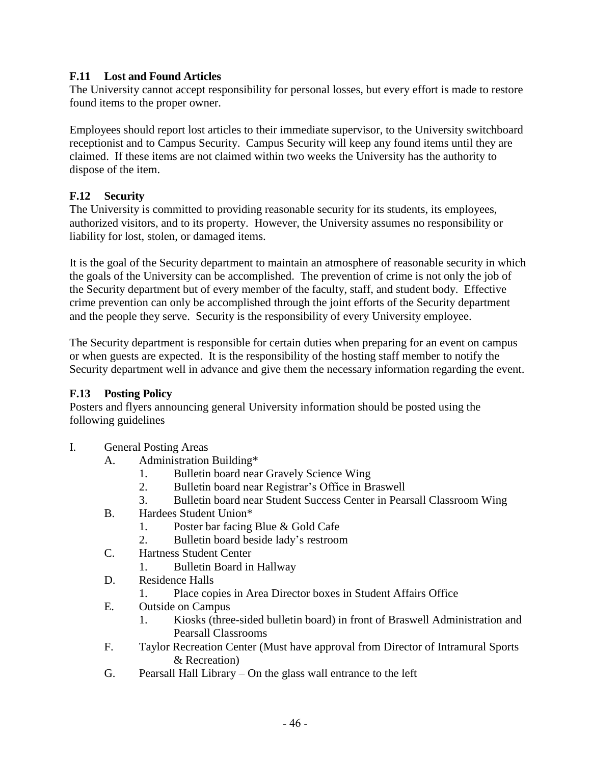## **F.11 Lost and Found Articles**

The University cannot accept responsibility for personal losses, but every effort is made to restore found items to the proper owner.

Employees should report lost articles to their immediate supervisor, to the University switchboard receptionist and to Campus Security. Campus Security will keep any found items until they are claimed. If these items are not claimed within two weeks the University has the authority to dispose of the item.

## **F.12 Security**

The University is committed to providing reasonable security for its students, its employees, authorized visitors, and to its property. However, the University assumes no responsibility or liability for lost, stolen, or damaged items.

It is the goal of the Security department to maintain an atmosphere of reasonable security in which the goals of the University can be accomplished. The prevention of crime is not only the job of the Security department but of every member of the faculty, staff, and student body. Effective crime prevention can only be accomplished through the joint efforts of the Security department and the people they serve. Security is the responsibility of every University employee.

The Security department is responsible for certain duties when preparing for an event on campus or when guests are expected. It is the responsibility of the hosting staff member to notify the Security department well in advance and give them the necessary information regarding the event.

#### **F.13 Posting Policy**

Posters and flyers announcing general University information should be posted using the following guidelines

- I. General Posting Areas
	- A. Administration Building\*
		- 1. Bulletin board near Gravely Science Wing
		- 2. Bulletin board near Registrar's Office in Braswell
		- 3. Bulletin board near Student Success Center in Pearsall Classroom Wing
	- B. Hardees Student Union\*
		- 1. Poster bar facing Blue & Gold Cafe
		- 2. Bulletin board beside lady's restroom
	- C. Hartness Student Center
		- 1. Bulletin Board in Hallway
	- D. Residence Halls
		- 1. Place copies in Area Director boxes in Student Affairs Office
	- E. Outside on Campus
		- 1. Kiosks (three-sided bulletin board) in front of Braswell Administration and Pearsall Classrooms
	- F. Taylor Recreation Center (Must have approval from Director of Intramural Sports & Recreation)
	- G. Pearsall Hall Library On the glass wall entrance to the left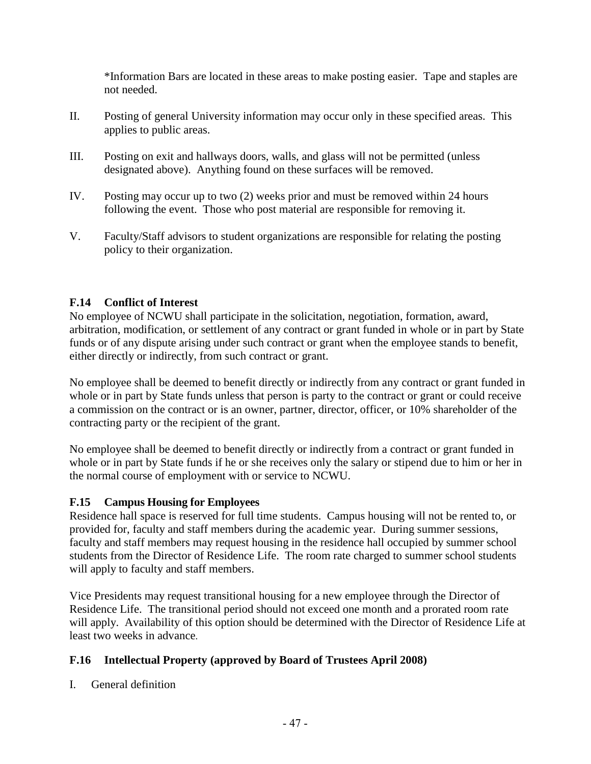\*Information Bars are located in these areas to make posting easier. Tape and staples are not needed.

- II. Posting of general University information may occur only in these specified areas. This applies to public areas.
- III. Posting on exit and hallways doors, walls, and glass will not be permitted (unless designated above). Anything found on these surfaces will be removed.
- IV. Posting may occur up to two (2) weeks prior and must be removed within 24 hours following the event. Those who post material are responsible for removing it.
- V. Faculty/Staff advisors to student organizations are responsible for relating the posting policy to their organization.

# **F.14 Conflict of Interest**

No employee of NCWU shall participate in the solicitation, negotiation, formation, award, arbitration, modification, or settlement of any contract or grant funded in whole or in part by State funds or of any dispute arising under such contract or grant when the employee stands to benefit, either directly or indirectly, from such contract or grant.

No employee shall be deemed to benefit directly or indirectly from any contract or grant funded in whole or in part by State funds unless that person is party to the contract or grant or could receive a commission on the contract or is an owner, partner, director, officer, or 10% shareholder of the contracting party or the recipient of the grant.

No employee shall be deemed to benefit directly or indirectly from a contract or grant funded in whole or in part by State funds if he or she receives only the salary or stipend due to him or her in the normal course of employment with or service to NCWU.

#### **F.15 Campus Housing for Employees**

Residence hall space is reserved for full time students. Campus housing will not be rented to, or provided for, faculty and staff members during the academic year. During summer sessions, faculty and staff members may request housing in the residence hall occupied by summer school students from the Director of Residence Life. The room rate charged to summer school students will apply to faculty and staff members.

Vice Presidents may request transitional housing for a new employee through the Director of Residence Life. The transitional period should not exceed one month and a prorated room rate will apply. Availability of this option should be determined with the Director of Residence Life at least two weeks in advance.

#### **F.16 Intellectual Property (approved by Board of Trustees April 2008)**

I. General definition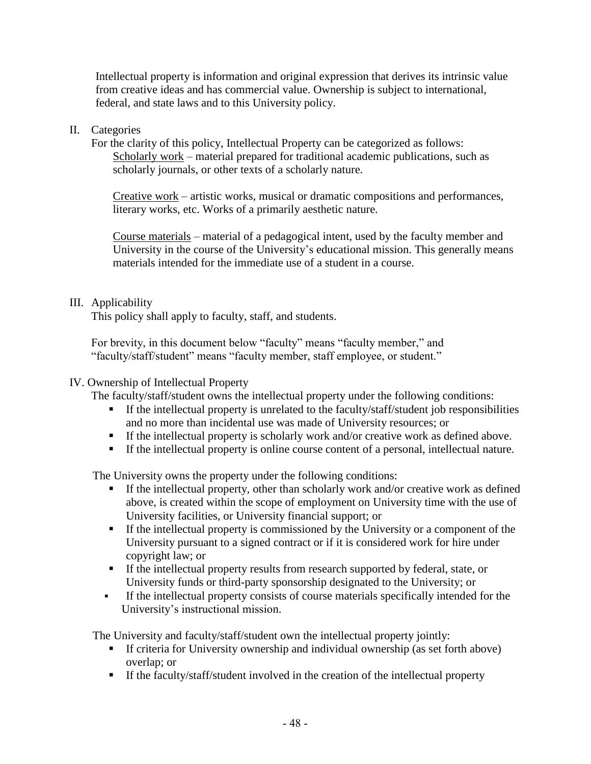Intellectual property is information and original expression that derives its intrinsic value from creative ideas and has commercial value. Ownership is subject to international, federal, and state laws and to this University policy.

#### II. Categories

For the clarity of this policy, Intellectual Property can be categorized as follows: Scholarly work – material prepared for traditional academic publications, such as scholarly journals, or other texts of a scholarly nature.

Creative work – artistic works, musical or dramatic compositions and performances, literary works, etc. Works of a primarily aesthetic nature.

Course materials – material of a pedagogical intent, used by the faculty member and University in the course of the University's educational mission. This generally means materials intended for the immediate use of a student in a course.

#### III. Applicability

This policy shall apply to faculty, staff, and students.

For brevity, in this document below "faculty" means "faculty member," and "faculty/staff/student" means "faculty member, staff employee, or student."

#### IV. Ownership of Intellectual Property

The faculty/staff/student owns the intellectual property under the following conditions:

- **EXECUTE:** If the intellectual property is unrelated to the faculty/staff/student job responsibilities and no more than incidental use was made of University resources; or
- **•** If the intellectual property is scholarly work and/or creative work as defined above.
- If the intellectual property is online course content of a personal, intellectual nature.

The University owns the property under the following conditions:

- If the intellectual property, other than scholarly work and/or creative work as defined above, is created within the scope of employment on University time with the use of University facilities, or University financial support; or
- **Example 1** If the intellectual property is commissioned by the University or a component of the University pursuant to a signed contract or if it is considered work for hire under copyright law; or
- If the intellectual property results from research supported by federal, state, or University funds or third-party sponsorship designated to the University; or
- If the intellectual property consists of course materials specifically intended for the University's instructional mission.

The University and faculty/staff/student own the intellectual property jointly:

- If criteria for University ownership and individual ownership (as set forth above) overlap; or
- If the faculty/staff/student involved in the creation of the intellectual property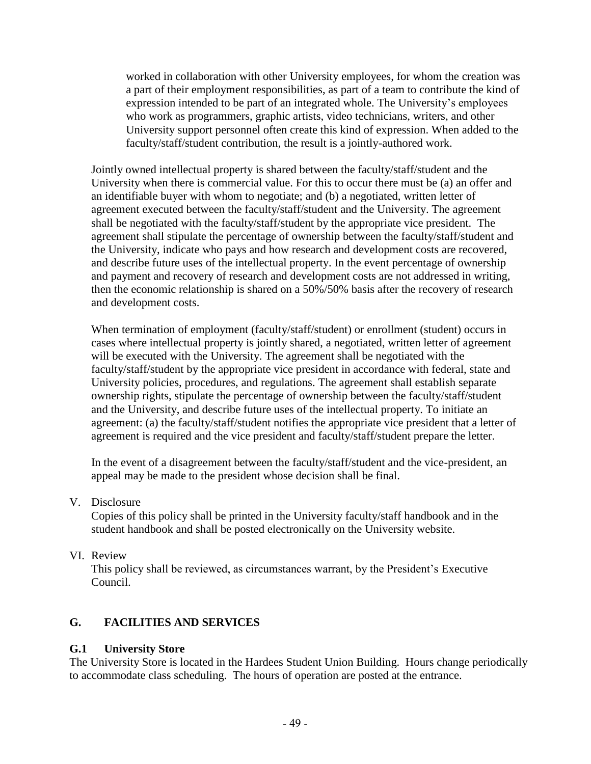worked in collaboration with other University employees, for whom the creation was a part of their employment responsibilities, as part of a team to contribute the kind of expression intended to be part of an integrated whole. The University's employees who work as programmers, graphic artists, video technicians, writers, and other University support personnel often create this kind of expression. When added to the faculty/staff/student contribution, the result is a jointly-authored work.

Jointly owned intellectual property is shared between the faculty/staff/student and the University when there is commercial value. For this to occur there must be (a) an offer and an identifiable buyer with whom to negotiate; and (b) a negotiated, written letter of agreement executed between the faculty/staff/student and the University. The agreement shall be negotiated with the faculty/staff/student by the appropriate vice president. The agreement shall stipulate the percentage of ownership between the faculty/staff/student and the University, indicate who pays and how research and development costs are recovered, and describe future uses of the intellectual property. In the event percentage of ownership and payment and recovery of research and development costs are not addressed in writing, then the economic relationship is shared on a 50%/50% basis after the recovery of research and development costs.

When termination of employment (faculty/staff/student) or enrollment (student) occurs in cases where intellectual property is jointly shared, a negotiated, written letter of agreement will be executed with the University. The agreement shall be negotiated with the faculty/staff/student by the appropriate vice president in accordance with federal, state and University policies, procedures, and regulations. The agreement shall establish separate ownership rights, stipulate the percentage of ownership between the faculty/staff/student and the University, and describe future uses of the intellectual property. To initiate an agreement: (a) the faculty/staff/student notifies the appropriate vice president that a letter of agreement is required and the vice president and faculty/staff/student prepare the letter.

In the event of a disagreement between the faculty/staff/student and the vice-president, an appeal may be made to the president whose decision shall be final.

V. Disclosure

Copies of this policy shall be printed in the University faculty/staff handbook and in the student handbook and shall be posted electronically on the University website.

VI. Review

This policy shall be reviewed, as circumstances warrant, by the President's Executive Council.

# **G. FACILITIES AND SERVICES**

#### **G.1 University Store**

The University Store is located in the Hardees Student Union Building. Hours change periodically to accommodate class scheduling. The hours of operation are posted at the entrance.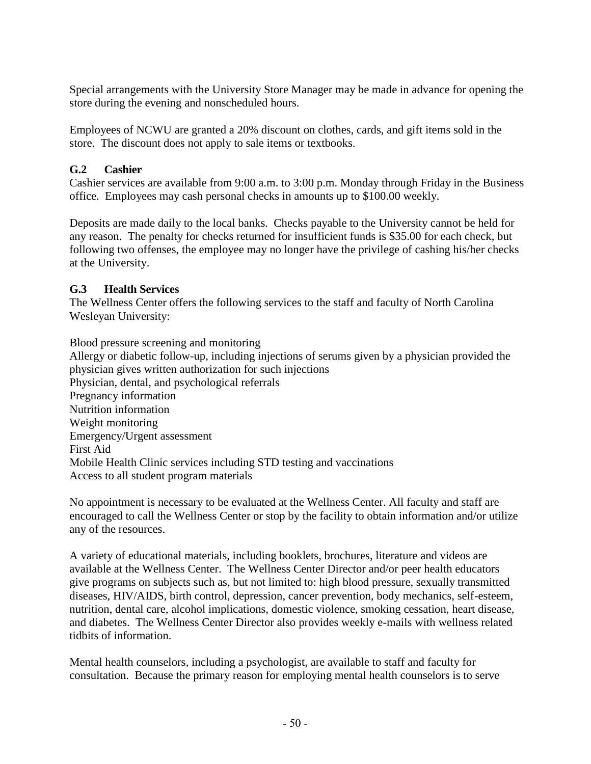Special arrangements with the University Store Manager may be made in advance for opening the store during the evening and nonscheduled hours.

Employees of NCWU are granted a 20% discount on clothes, cards, and gift items sold in the store. The discount does not apply to sale items or textbooks.

# **G.2 Cashier**

Cashier services are available from 9:00 a.m. to 3:00 p.m. Monday through Friday in the Business office. Employees may cash personal checks in amounts up to \$100.00 weekly.

Deposits are made daily to the local banks. Checks payable to the University cannot be held for any reason. The penalty for checks returned for insufficient funds is \$35.00 for each check, but following two offenses, the employee may no longer have the privilege of cashing his/her checks at the University.

# **G.3 Health Services**

The Wellness Center offers the following services to the staff and faculty of North Carolina Wesleyan University:

Blood pressure screening and monitoring Allergy or diabetic follow-up, including injections of serums given by a physician provided the physician gives written authorization for such injections Physician, dental, and psychological referrals Pregnancy information Nutrition information Weight monitoring Emergency/Urgent assessment First Aid Mobile Health Clinic services including STD testing and vaccinations Access to all student program materials

No appointment is necessary to be evaluated at the Wellness Center. All faculty and staff are encouraged to call the Wellness Center or stop by the facility to obtain information and/or utilize any of the resources.

A variety of educational materials, including booklets, brochures, literature and videos are available at the Wellness Center. The Wellness Center Director and/or peer health educators give programs on subjects such as, but not limited to: high blood pressure, sexually transmitted diseases, HIV/AIDS, birth control, depression, cancer prevention, body mechanics, self-esteem, nutrition, dental care, alcohol implications, domestic violence, smoking cessation, heart disease, and diabetes. The Wellness Center Director also provides weekly e-mails with wellness related tidbits of information.

Mental health counselors, including a psychologist, are available to staff and faculty for consultation. Because the primary reason for employing mental health counselors is to serve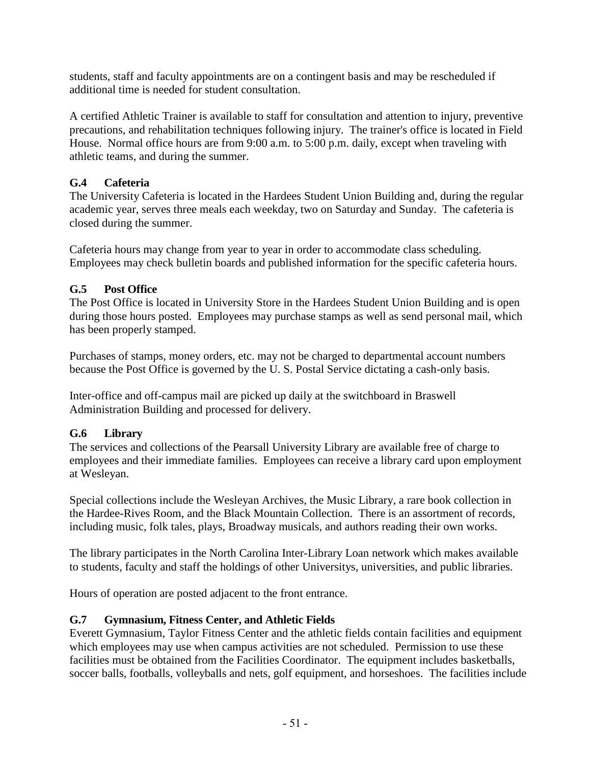students, staff and faculty appointments are on a contingent basis and may be rescheduled if additional time is needed for student consultation.

A certified Athletic Trainer is available to staff for consultation and attention to injury, preventive precautions, and rehabilitation techniques following injury. The trainer's office is located in Field House. Normal office hours are from 9:00 a.m. to 5:00 p.m. daily, except when traveling with athletic teams, and during the summer.

# **G.4 Cafeteria**

The University Cafeteria is located in the Hardees Student Union Building and, during the regular academic year, serves three meals each weekday, two on Saturday and Sunday. The cafeteria is closed during the summer.

Cafeteria hours may change from year to year in order to accommodate class scheduling. Employees may check bulletin boards and published information for the specific cafeteria hours.

# **G.5 Post Office**

The Post Office is located in University Store in the Hardees Student Union Building and is open during those hours posted. Employees may purchase stamps as well as send personal mail, which has been properly stamped.

Purchases of stamps, money orders, etc. may not be charged to departmental account numbers because the Post Office is governed by the U. S. Postal Service dictating a cash-only basis.

Inter-office and off-campus mail are picked up daily at the switchboard in Braswell Administration Building and processed for delivery.

# **G.6 Library**

The services and collections of the Pearsall University Library are available free of charge to employees and their immediate families. Employees can receive a library card upon employment at Wesleyan.

Special collections include the Wesleyan Archives, the Music Library, a rare book collection in the Hardee-Rives Room, and the Black Mountain Collection. There is an assortment of records, including music, folk tales, plays, Broadway musicals, and authors reading their own works.

The library participates in the North Carolina Inter-Library Loan network which makes available to students, faculty and staff the holdings of other Universitys, universities, and public libraries.

Hours of operation are posted adjacent to the front entrance.

# **G.7 Gymnasium, Fitness Center, and Athletic Fields**

Everett Gymnasium, Taylor Fitness Center and the athletic fields contain facilities and equipment which employees may use when campus activities are not scheduled. Permission to use these facilities must be obtained from the Facilities Coordinator. The equipment includes basketballs, soccer balls, footballs, volleyballs and nets, golf equipment, and horseshoes. The facilities include